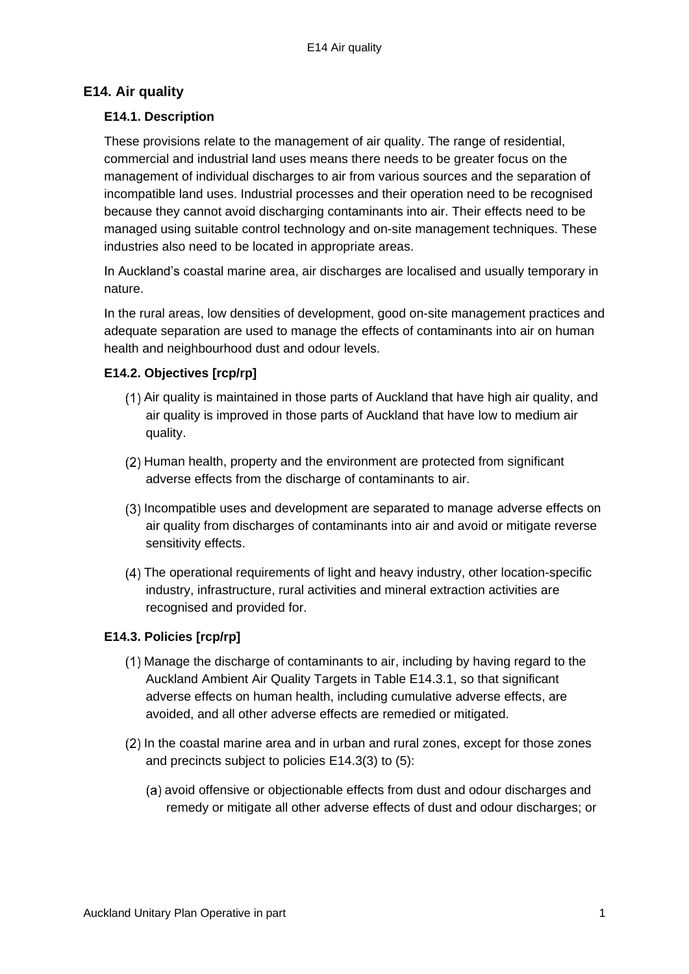# **E14. Air quality**

### **E14.1. Description**

These provisions relate to the management of air quality. The range of residential, commercial and industrial land uses means there needs to be greater focus on the management of individual discharges to air from various sources and the separation of incompatible land uses. Industrial processes and their operation need to be recognised because they cannot avoid discharging contaminants into air. Their effects need to be managed using suitable control technology and on-site management techniques. These industries also need to be located in appropriate areas.

In Auckland's coastal marine area, air discharges are localised and usually temporary in nature.

In the rural areas, low densities of development, good on-site management practices and adequate separation are used to manage the effects of contaminants into air on human health and neighbourhood dust and odour levels.

## **E14.2. Objectives [rcp/rp]**

- (1) Air quality is maintained in those parts of Auckland that have high air quality, and air quality is improved in those parts of Auckland that have low to medium air quality.
- (2) Human health, property and the environment are protected from significant adverse effects from the discharge of contaminants to air.
- (3) Incompatible uses and development are separated to manage adverse effects on air quality from discharges of contaminants into air and avoid or mitigate reverse sensitivity effects.
- The operational requirements of light and heavy industry, other location-specific industry, infrastructure, rural activities and mineral extraction activities are recognised and provided for.

## **E14.3. Policies [rcp/rp]**

- Manage the discharge of contaminants to air, including by having regard to the Auckland Ambient Air Quality Targets in Table E14.3.1, so that significant adverse effects on human health, including cumulative adverse effects, are avoided, and all other adverse effects are remedied or mitigated.
- In the coastal marine area and in urban and rural zones, except for those zones and precincts subject to policies E14.3(3) to (5):
	- (a) avoid offensive or objectionable effects from dust and odour discharges and remedy or mitigate all other adverse effects of dust and odour discharges; or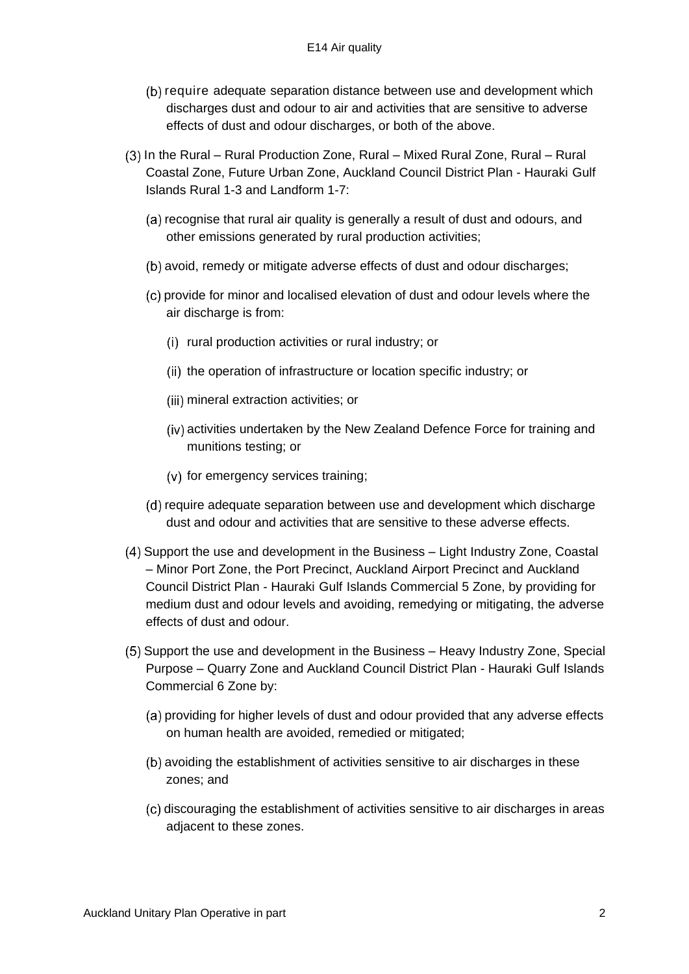- (b) require adequate separation distance between use and development which discharges dust and odour to air and activities that are sensitive to adverse effects of dust and odour discharges, or both of the above.
- In the Rural Rural Production Zone, Rural Mixed Rural Zone, Rural Rural Coastal Zone, Future Urban Zone, Auckland Council District Plan - Hauraki Gulf Islands Rural 1-3 and Landform 1-7:
	- (a) recognise that rural air quality is generally a result of dust and odours, and other emissions generated by rural production activities;
	- (b) avoid, remedy or mitigate adverse effects of dust and odour discharges;
	- provide for minor and localised elevation of dust and odour levels where the air discharge is from:
		- (i) rural production activities or rural industry; or
		- (ii) the operation of infrastructure or location specific industry; or
		- (iii) mineral extraction activities; or
		- (iv) activities undertaken by the New Zealand Defence Force for training and munitions testing; or
		- $(v)$  for emergency services training;
	- (d) require adequate separation between use and development which discharge dust and odour and activities that are sensitive to these adverse effects.
- Support the use and development in the Business Light Industry Zone, Coastal – Minor Port Zone, the Port Precinct, Auckland Airport Precinct and Auckland Council District Plan - Hauraki Gulf Islands Commercial 5 Zone, by providing for medium dust and odour levels and avoiding, remedying or mitigating, the adverse effects of dust and odour.
- Support the use and development in the Business Heavy Industry Zone, Special Purpose – Quarry Zone and Auckland Council District Plan - Hauraki Gulf Islands Commercial 6 Zone by:
	- (a) providing for higher levels of dust and odour provided that any adverse effects on human health are avoided, remedied or mitigated;
	- (b) avoiding the establishment of activities sensitive to air discharges in these zones; and
	- (c) discouraging the establishment of activities sensitive to air discharges in areas adjacent to these zones.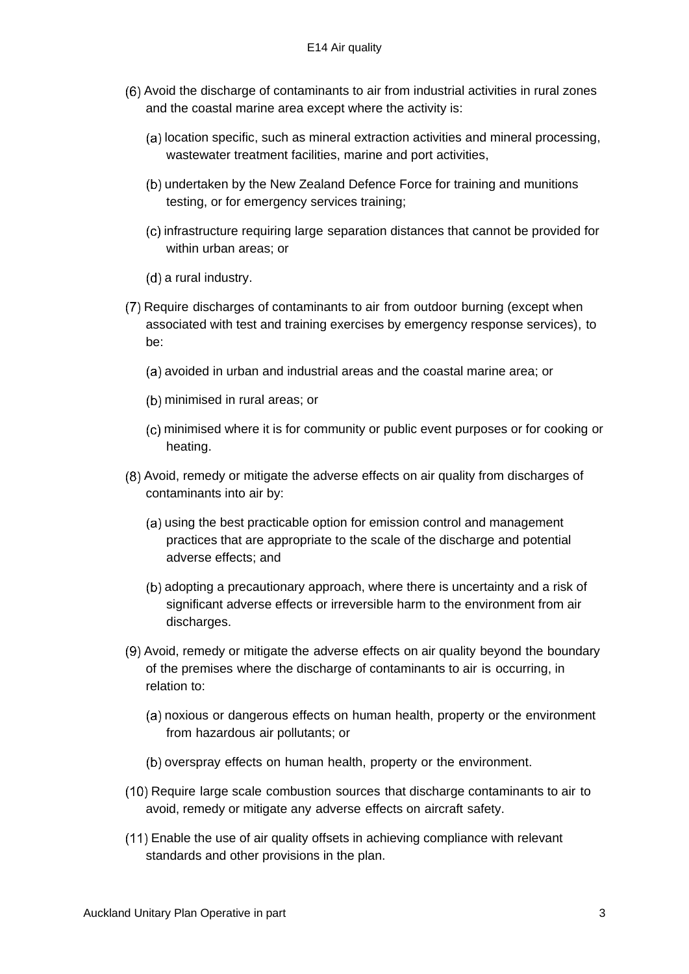- Avoid the discharge of contaminants to air from industrial activities in rural zones and the coastal marine area except where the activity is:
	- (a) location specific, such as mineral extraction activities and mineral processing, wastewater treatment facilities, marine and port activities,
	- (b) undertaken by the New Zealand Defence Force for training and munitions testing, or for emergency services training;
	- infrastructure requiring large separation distances that cannot be provided for within urban areas; or
	- $(d)$  a rural industry.
- Require discharges of contaminants to air from outdoor burning (except when associated with test and training exercises by emergency response services), to be:
	- (a) avoided in urban and industrial areas and the coastal marine area; or
	- (b) minimised in rural areas; or
	- minimised where it is for community or public event purposes or for cooking or heating.
- Avoid, remedy or mitigate the adverse effects on air quality from discharges of contaminants into air by:
	- (a) using the best practicable option for emission control and management practices that are appropriate to the scale of the discharge and potential adverse effects; and
	- (b) adopting a precautionary approach, where there is uncertainty and a risk of significant adverse effects or irreversible harm to the environment from air discharges.
- Avoid, remedy or mitigate the adverse effects on air quality beyond the boundary of the premises where the discharge of contaminants to air is occurring, in relation to:
	- (a) noxious or dangerous effects on human health, property or the environment from hazardous air pollutants; or
	- (b) overspray effects on human health, property or the environment.
- (10) Require large scale combustion sources that discharge contaminants to air to avoid, remedy or mitigate any adverse effects on aircraft safety.
- Enable the use of air quality offsets in achieving compliance with relevant standards and other provisions in the plan.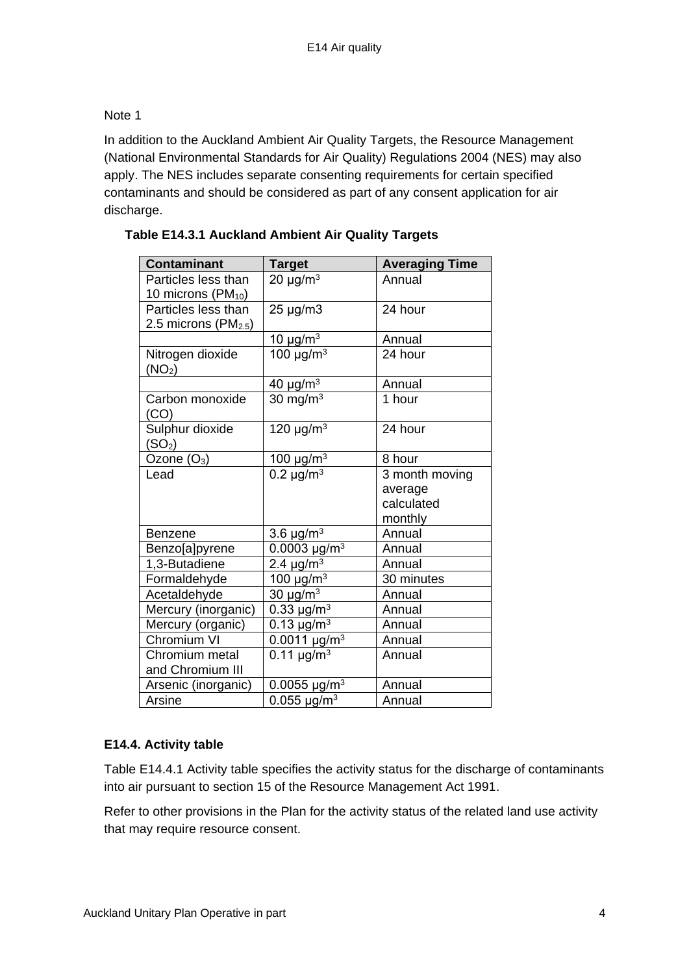# Note 1

In addition to the Auckland Ambient Air Quality Targets, the Resource Management (National Environmental Standards for Air Quality) Regulations 2004 (NES) may also apply. The NES includes separate consenting requirements for certain specified contaminants and should be considered as part of any consent application for air discharge.

| <b>Contaminant</b>                             | <b>Target</b>                 | <b>Averaging Time</b> |
|------------------------------------------------|-------------------------------|-----------------------|
| Particles less than<br>10 microns $(PM_{10})$  | 20 $\mu$ g/m <sup>3</sup>     | Annual                |
| Particles less than<br>2.5 microns ( $PM2.5$ ) | 25 µg/m3                      | 24 hour               |
|                                                | 10 $\mu$ g/m <sup>3</sup>     | Annual                |
| Nitrogen dioxide<br>(NO <sub>2</sub> )         | 100 $\mu$ g/m <sup>3</sup>    | 24 hour               |
|                                                | 40 $\mu$ g/m <sup>3</sup>     | Annual                |
| Carbon monoxide<br>(CO)                        | 30 mg/m $3$                   | 1 hour                |
| Sulphur dioxide<br>(SO <sub>2</sub> )          | 120 $\mu$ g/m <sup>3</sup>    | 24 hour               |
| Ozone $(O_3)$                                  | 100 $\mu$ g/m <sup>3</sup>    | 8 hour                |
| Lead                                           | 0.2 $\mu$ g/m <sup>3</sup>    | 3 month moving        |
|                                                |                               | average<br>calculated |
|                                                |                               | monthly               |
| <b>Benzene</b>                                 | 3.6 $\mu$ g/m <sup>3</sup>    | Annual                |
| Benzo[a]pyrene                                 | 0.0003 $\mu$ g/m <sup>3</sup> | Annual                |
| 1,3-Butadiene                                  | 2.4 $\mu$ g/m <sup>3</sup>    | Annual                |
| Formaldehyde                                   | 100 $\mu$ g/m <sup>3</sup>    | 30 minutes            |
| Acetaldehyde                                   | 30 $\mu$ g/m <sup>3</sup>     | Annual                |
| Mercury (inorganic)                            | 0.33 $\mu$ g/m <sup>3</sup>   | Annual                |
| Mercury (organic)                              | 0.13 $\mu$ g/m <sup>3</sup>   | Annual                |
| Chromium VI                                    | $0.0011 \mu g/m^3$            | Annual                |
| Chromium metal                                 | $0.11 \mu g/m^3$              | Annual                |
| and Chromium III                               |                               |                       |
| Arsenic (inorganic)                            | 0.0055 $\mu$ g/m <sup>3</sup> | Annual                |
| Arsine                                         | 0.055 $\mu$ g/m <sup>3</sup>  | Annual                |

## **Table E14.3.1 Auckland Ambient Air Quality Targets**

# **E14.4. Activity table**

Table E14.4.1 Activity table specifies the activity status for the discharge of contaminants into air pursuant to section 15 of the Resource Management Act 1991.

Refer to other provisions in the Plan for the activity status of the related land use activity that may require resource consent.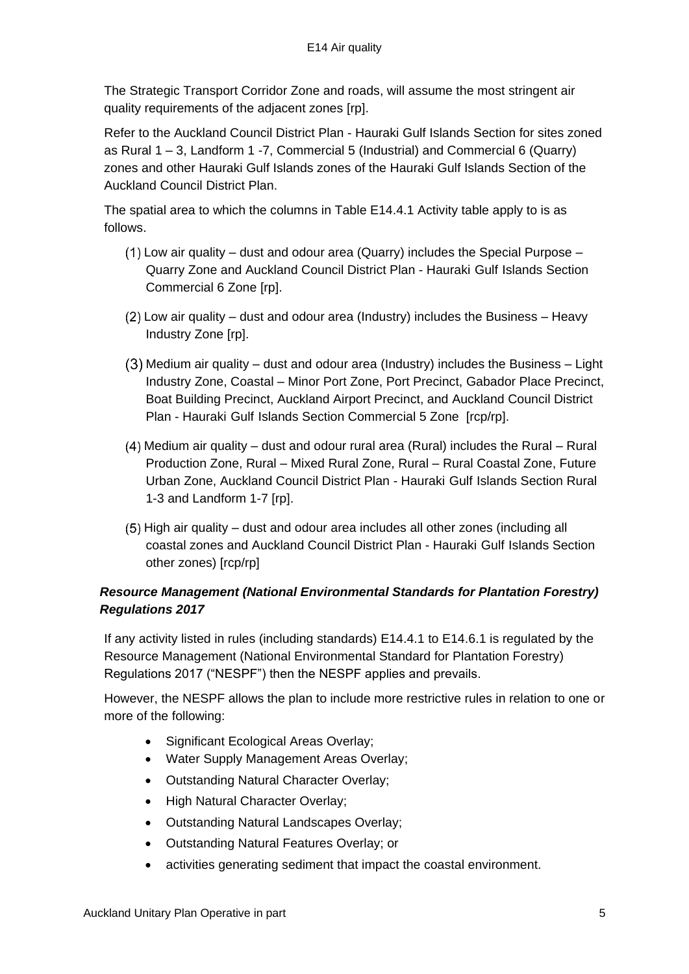The Strategic Transport Corridor Zone and roads, will assume the most stringent air quality requirements of the adjacent zones [rp].

Refer to the Auckland Council District Plan - Hauraki Gulf Islands Section for sites zoned as Rural 1 – 3, Landform 1 -7, Commercial 5 (Industrial) and Commercial 6 (Quarry) zones and other Hauraki Gulf Islands zones of the Hauraki Gulf Islands Section of the Auckland Council District Plan.

The spatial area to which the columns in Table E14.4.1 Activity table apply to is as follows.

- $(1)$  Low air quality dust and odour area (Quarry) includes the Special Purpose Quarry Zone and Auckland Council District Plan - Hauraki Gulf Islands Section Commercial 6 Zone [rp].
- Low air quality dust and odour area (Industry) includes the Business Heavy Industry Zone [rp].
- Medium air quality dust and odour area (Industry) includes the Business Light Industry Zone, Coastal – Minor Port Zone, Port Precinct, Gabador Place Precinct, Boat Building Precinct, Auckland Airport Precinct, and Auckland Council District Plan - Hauraki Gulf Islands Section Commercial 5 Zone [rcp/rp].
- Medium air quality dust and odour rural area (Rural) includes the Rural Rural Production Zone, Rural – Mixed Rural Zone, Rural – Rural Coastal Zone, Future Urban Zone, Auckland Council District Plan - Hauraki Gulf Islands Section Rural 1-3 and Landform 1-7 [rp].
- High air quality dust and odour area includes all other zones (including all coastal zones and Auckland Council District Plan - Hauraki Gulf Islands Section other zones) [rcp/rp]

# *[Resource Management \(National Environmental Standards for Plantation Forestry\)](http://www.legislation.govt.nz/regulation/public/2017/0174/latest/whole.html)  [Regulations 2017](http://www.legislation.govt.nz/regulation/public/2017/0174/latest/whole.html)*

If any activity listed in rules (including standards) E14.4.1 to E14.6.1 is regulated by the Resource Management (National Environmental Standard for Plantation Forestry) Regulations 2017 ("NESPF") then the NESPF applies and prevails.

However, the NESPF allows the plan to include more restrictive rules in relation to one or more of the following:

- Significant Ecological Areas Overlay;
- Water Supply Management Areas Overlay;
- Outstanding Natural Character Overlay;
- High Natural Character Overlay;
- Outstanding Natural Landscapes Overlay;
- Outstanding Natural Features Overlay; or
- activities generating sediment that impact the coastal environment.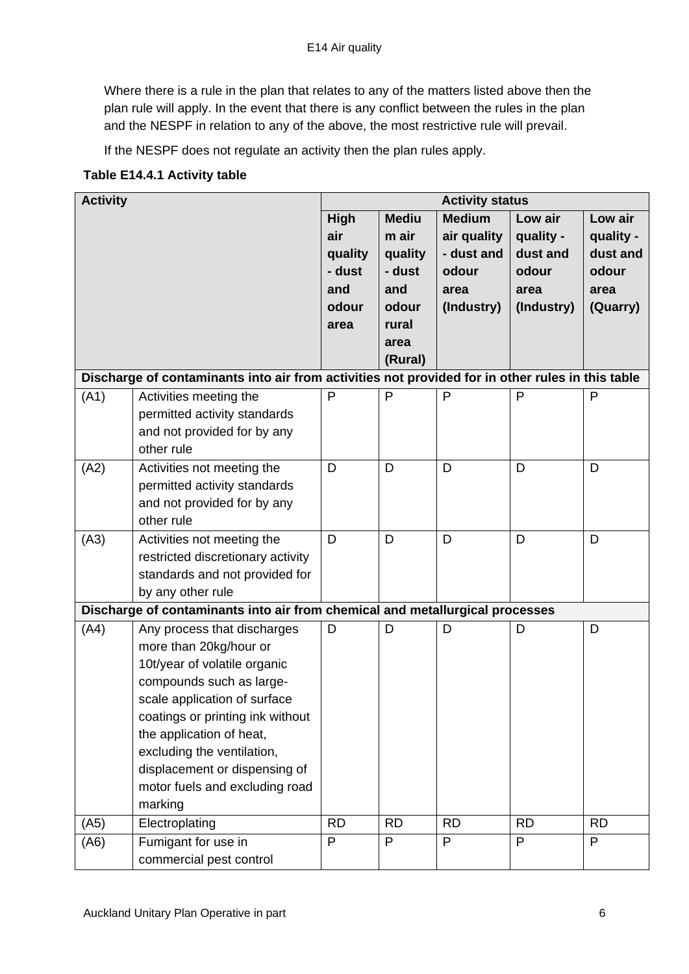Where there is a rule in the plan that relates to any of the matters listed above then the plan rule will apply. In the event that there is any conflict between the rules in the plan and the NESPF in relation to any of the above, the most restrictive rule will prevail.

If the NESPF does not regulate an activity then the plan rules apply.

### **Table E14.4.1 Activity table**

| <b>Activity</b> |                                                                                                                                                                                                                                                                                                                               | <b>Activity status</b>                                   |                                                                                        |                                                                           |                                                                 |                                                               |
|-----------------|-------------------------------------------------------------------------------------------------------------------------------------------------------------------------------------------------------------------------------------------------------------------------------------------------------------------------------|----------------------------------------------------------|----------------------------------------------------------------------------------------|---------------------------------------------------------------------------|-----------------------------------------------------------------|---------------------------------------------------------------|
|                 |                                                                                                                                                                                                                                                                                                                               | High<br>air<br>quality<br>- dust<br>and<br>odour<br>area | <b>Mediu</b><br>m air<br>quality<br>- dust<br>and<br>odour<br>rural<br>area<br>(Rural) | <b>Medium</b><br>air quality<br>- dust and<br>odour<br>area<br>(Industry) | Low air<br>quality -<br>dust and<br>odour<br>area<br>(Industry) | Low air<br>quality -<br>dust and<br>odour<br>area<br>(Quarry) |
|                 | Discharge of contaminants into air from activities not provided for in other rules in this table                                                                                                                                                                                                                              |                                                          |                                                                                        |                                                                           |                                                                 |                                                               |
| (A1)            | Activities meeting the<br>permitted activity standards<br>and not provided for by any<br>other rule                                                                                                                                                                                                                           | P                                                        | P                                                                                      | P                                                                         | P                                                               | P                                                             |
| (A2)            | Activities not meeting the<br>permitted activity standards<br>and not provided for by any<br>other rule                                                                                                                                                                                                                       | D                                                        | D                                                                                      | D                                                                         | D                                                               | D                                                             |
| (A3)            | Activities not meeting the<br>restricted discretionary activity<br>standards and not provided for<br>by any other rule                                                                                                                                                                                                        | D                                                        | D                                                                                      | D                                                                         | D                                                               | D                                                             |
|                 | Discharge of contaminants into air from chemical and metallurgical processes                                                                                                                                                                                                                                                  |                                                          |                                                                                        |                                                                           |                                                                 |                                                               |
| (A4)            | Any process that discharges<br>more than 20kg/hour or<br>10t/year of volatile organic<br>compounds such as large-<br>scale application of surface<br>coatings or printing ink without<br>the application of heat,<br>excluding the ventilation,<br>displacement or dispensing of<br>motor fuels and excluding road<br>marking | D                                                        | D                                                                                      | D                                                                         | D                                                               | D                                                             |
| (A5)            | Electroplating                                                                                                                                                                                                                                                                                                                | <b>RD</b>                                                | <b>RD</b>                                                                              | <b>RD</b>                                                                 | <b>RD</b>                                                       | <b>RD</b>                                                     |
| (A6)            | Fumigant for use in<br>commercial pest control                                                                                                                                                                                                                                                                                | P                                                        | P                                                                                      | P                                                                         | P                                                               | P                                                             |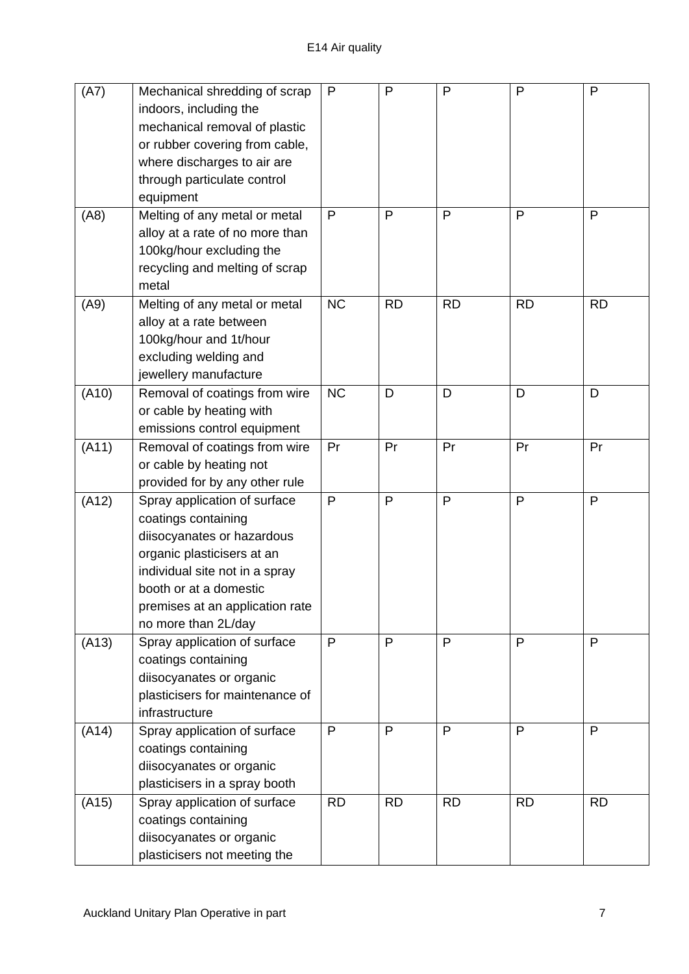| (A7)  | Mechanical shredding of scrap<br>indoors, including the<br>mechanical removal of plastic<br>or rubber covering from cable,<br>where discharges to air are<br>through particulate control<br>equipment                                 | P         | P         | P         | P         | P         |
|-------|---------------------------------------------------------------------------------------------------------------------------------------------------------------------------------------------------------------------------------------|-----------|-----------|-----------|-----------|-----------|
| (AB)  | Melting of any metal or metal<br>alloy at a rate of no more than<br>100kg/hour excluding the<br>recycling and melting of scrap<br>metal                                                                                               | P         | P         | P         | P         | P         |
| (A9)  | Melting of any metal or metal<br>alloy at a rate between<br>100kg/hour and 1t/hour<br>excluding welding and<br>jewellery manufacture                                                                                                  | <b>NC</b> | <b>RD</b> | <b>RD</b> | <b>RD</b> | <b>RD</b> |
| (A10) | Removal of coatings from wire<br>or cable by heating with<br>emissions control equipment                                                                                                                                              | <b>NC</b> | D         | D         | D         | D         |
| (A11) | Removal of coatings from wire<br>or cable by heating not<br>provided for by any other rule                                                                                                                                            | Pr        | Pr        | Pr        | Pr        | Pr        |
| (A12) | Spray application of surface<br>coatings containing<br>diisocyanates or hazardous<br>organic plasticisers at an<br>individual site not in a spray<br>booth or at a domestic<br>premises at an application rate<br>no more than 2L/day | P         | P         | P         | P         | P         |
| (A13) | Spray application of surface<br>coatings containing<br>diisocyanates or organic<br>plasticisers for maintenance of<br>infrastructure                                                                                                  | P         | P         | P         | P         | P         |
| (A14) | Spray application of surface<br>coatings containing<br>diisocyanates or organic<br>plasticisers in a spray booth                                                                                                                      | P         | P         | P         | P         | P         |
| (A15) | Spray application of surface<br>coatings containing<br>diisocyanates or organic<br>plasticisers not meeting the                                                                                                                       | <b>RD</b> | <b>RD</b> | <b>RD</b> | <b>RD</b> | <b>RD</b> |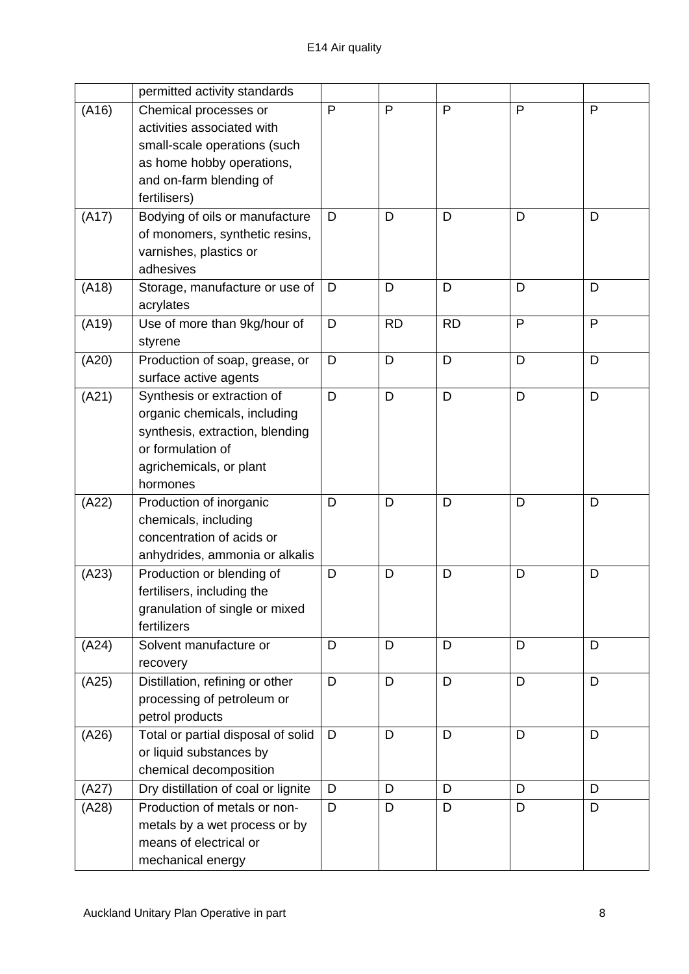|       | permitted activity standards        |   |           |           |              |   |
|-------|-------------------------------------|---|-----------|-----------|--------------|---|
| (A16) | Chemical processes or               | P | P         | P         | $\mathsf{P}$ | P |
|       | activities associated with          |   |           |           |              |   |
|       | small-scale operations (such        |   |           |           |              |   |
|       | as home hobby operations,           |   |           |           |              |   |
|       | and on-farm blending of             |   |           |           |              |   |
|       | fertilisers)                        |   |           |           |              |   |
| (A17) | Bodying of oils or manufacture      | D | D         | D         | D            | D |
|       | of monomers, synthetic resins,      |   |           |           |              |   |
|       | varnishes, plastics or              |   |           |           |              |   |
|       | adhesives                           |   |           |           |              |   |
| (A18) | Storage, manufacture or use of      | D | D         | D         | D            | D |
|       | acrylates                           |   |           |           |              |   |
| (A19) | Use of more than 9kg/hour of        | D | <b>RD</b> | <b>RD</b> | P            | P |
|       | styrene                             |   |           |           |              |   |
| (A20) | Production of soap, grease, or      | D | D         | D         | D            | D |
|       | surface active agents               |   |           |           |              |   |
| (A21) | Synthesis or extraction of          | D | D         | D         | D            | D |
|       | organic chemicals, including        |   |           |           |              |   |
|       | synthesis, extraction, blending     |   |           |           |              |   |
|       | or formulation of                   |   |           |           |              |   |
|       | agrichemicals, or plant             |   |           |           |              |   |
|       | hormones                            |   |           |           |              |   |
| (A22) | Production of inorganic             | D | D         | D         | D            | D |
|       | chemicals, including                |   |           |           |              |   |
|       | concentration of acids or           |   |           |           |              |   |
|       | anhydrides, ammonia or alkalis      |   |           |           |              |   |
| (A23) | Production or blending of           | D | D         | D         | D            | D |
|       | fertilisers, including the          |   |           |           |              |   |
|       | granulation of single or mixed      |   |           |           |              |   |
|       | fertilizers                         |   |           |           |              |   |
| (A24) | Solvent manufacture or              | D | D         | D         | D            | D |
|       | recovery                            |   |           |           |              |   |
| (A25) | Distillation, refining or other     | D | D         | D         | D            | D |
|       | processing of petroleum or          |   |           |           |              |   |
|       | petrol products                     |   |           |           |              |   |
| (A26) | Total or partial disposal of solid  | D | D         | D         | D            | D |
|       | or liquid substances by             |   |           |           |              |   |
|       | chemical decomposition              |   |           |           |              |   |
| (A27) | Dry distillation of coal or lignite | D | D         | D         | D            | D |
| (A28) | Production of metals or non-        | D | D         | D         | D            | D |
|       | metals by a wet process or by       |   |           |           |              |   |
|       | means of electrical or              |   |           |           |              |   |
|       | mechanical energy                   |   |           |           |              |   |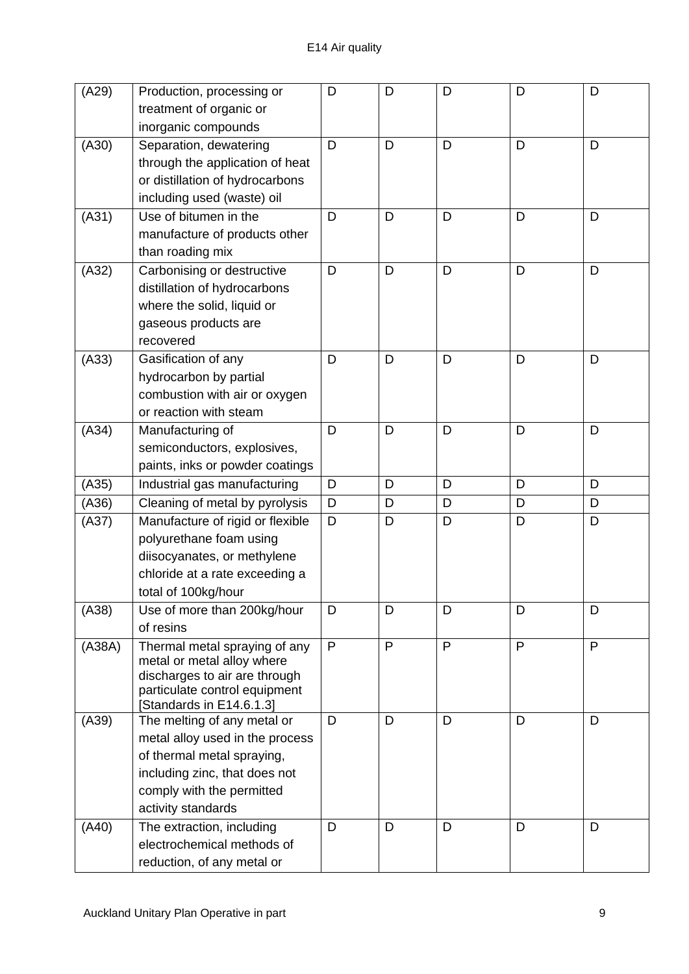| (A29)  | Production, processing or                                      | D | D | D | D            | D |
|--------|----------------------------------------------------------------|---|---|---|--------------|---|
|        | treatment of organic or                                        |   |   |   |              |   |
|        | inorganic compounds                                            |   |   |   |              |   |
| (A30)  | Separation, dewatering                                         | D | D | D | D            | D |
|        | through the application of heat                                |   |   |   |              |   |
|        | or distillation of hydrocarbons                                |   |   |   |              |   |
|        | including used (waste) oil                                     |   |   |   |              |   |
| (A31)  | Use of bitumen in the                                          | D | D | D | D            | D |
|        | manufacture of products other                                  |   |   |   |              |   |
|        | than roading mix                                               |   |   |   |              |   |
| (A32)  | Carbonising or destructive                                     | D | D | D | D            | D |
|        | distillation of hydrocarbons                                   |   |   |   |              |   |
|        | where the solid, liquid or                                     |   |   |   |              |   |
|        | gaseous products are                                           |   |   |   |              |   |
|        | recovered                                                      |   |   |   |              |   |
| (A33)  | Gasification of any                                            | D | D | D | D            | D |
|        | hydrocarbon by partial                                         |   |   |   |              |   |
|        | combustion with air or oxygen                                  |   |   |   |              |   |
|        | or reaction with steam                                         |   |   |   |              |   |
| (A34)  | Manufacturing of                                               | D | D | D | D            | D |
|        | semiconductors, explosives,                                    |   |   |   |              |   |
|        | paints, inks or powder coatings                                |   |   |   |              |   |
| (A35)  | Industrial gas manufacturing                                   | D | D | D | D            | D |
| (A36)  | Cleaning of metal by pyrolysis                                 | D | D | D | D            | D |
| (A37)  | Manufacture of rigid or flexible                               | D | D | D | D            | D |
|        | polyurethane foam using                                        |   |   |   |              |   |
|        | diisocyanates, or methylene                                    |   |   |   |              |   |
|        | chloride at a rate exceeding a                                 |   |   |   |              |   |
|        | total of 100kg/hour                                            |   |   |   |              |   |
| (A38)  | Use of more than 200kg/hour                                    | D | D | D | D            | D |
|        | of resins                                                      |   |   |   |              |   |
| (A38A) | Thermal metal spraying of any                                  | P | P | P | $\mathsf{P}$ | P |
|        | metal or metal alloy where                                     |   |   |   |              |   |
|        | discharges to air are through<br>particulate control equipment |   |   |   |              |   |
|        | [Standards in E14.6.1.3]                                       |   |   |   |              |   |
| (A39)  | The melting of any metal or                                    | D | D | D | D            | D |
|        | metal alloy used in the process                                |   |   |   |              |   |
|        | of thermal metal spraying,                                     |   |   |   |              |   |
|        | including zinc, that does not                                  |   |   |   |              |   |
|        | comply with the permitted                                      |   |   |   |              |   |
|        | activity standards                                             |   |   |   |              |   |
| (A40)  | The extraction, including                                      | D | D | D | D            | D |
|        | electrochemical methods of                                     |   |   |   |              |   |
|        | reduction, of any metal or                                     |   |   |   |              |   |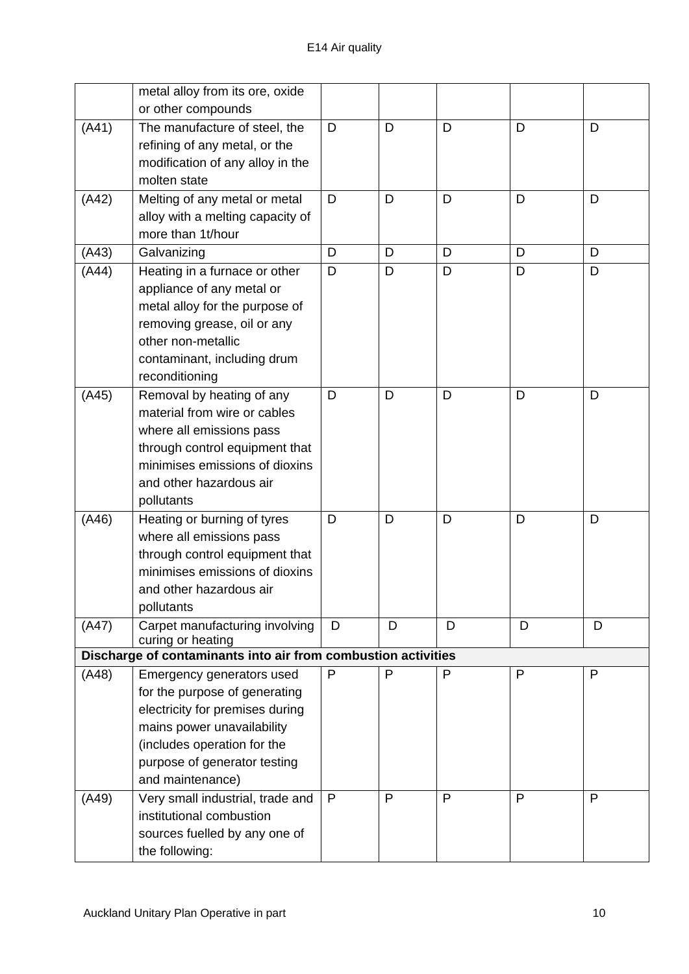|       | metal alloy from its ore, oxide                               |   |   |   |   |   |
|-------|---------------------------------------------------------------|---|---|---|---|---|
|       | or other compounds                                            |   |   |   |   |   |
| (A41) | The manufacture of steel, the                                 | D | D | D | D | D |
|       | refining of any metal, or the                                 |   |   |   |   |   |
|       | modification of any alloy in the                              |   |   |   |   |   |
|       | molten state                                                  |   |   |   |   |   |
| (A42) | Melting of any metal or metal                                 | D | D | D | D | D |
|       | alloy with a melting capacity of<br>more than 1t/hour         |   |   |   |   |   |
|       |                                                               |   | D |   |   |   |
| (A43) | Galvanizing                                                   | D |   | D | D | D |
| (A44) | Heating in a furnace or other                                 | D | D | D | D | D |
|       | appliance of any metal or<br>metal alloy for the purpose of   |   |   |   |   |   |
|       | removing grease, oil or any                                   |   |   |   |   |   |
|       | other non-metallic                                            |   |   |   |   |   |
|       | contaminant, including drum                                   |   |   |   |   |   |
|       | reconditioning                                                |   |   |   |   |   |
| (A45) | Removal by heating of any                                     | D | D | D | D | D |
|       | material from wire or cables                                  |   |   |   |   |   |
|       | where all emissions pass                                      |   |   |   |   |   |
|       | through control equipment that                                |   |   |   |   |   |
|       | minimises emissions of dioxins                                |   |   |   |   |   |
|       | and other hazardous air                                       |   |   |   |   |   |
|       | pollutants                                                    |   |   |   |   |   |
| (A46) | Heating or burning of tyres                                   | D | D | D | D | D |
|       | where all emissions pass                                      |   |   |   |   |   |
|       | through control equipment that                                |   |   |   |   |   |
|       | minimises emissions of dioxins                                |   |   |   |   |   |
|       | and other hazardous air                                       |   |   |   |   |   |
|       | pollutants                                                    |   |   |   |   |   |
| (A47) | Carpet manufacturing involving<br>curing or heating           | D | D | D | D | D |
|       | Discharge of contaminants into air from combustion activities |   |   |   |   |   |
| (A48) | Emergency generators used                                     | P | P | P | P | P |
|       | for the purpose of generating                                 |   |   |   |   |   |
|       | electricity for premises during                               |   |   |   |   |   |
|       | mains power unavailability                                    |   |   |   |   |   |
|       | (includes operation for the                                   |   |   |   |   |   |
|       | purpose of generator testing                                  |   |   |   |   |   |
|       | and maintenance)                                              |   |   |   |   |   |
| (A49) | Very small industrial, trade and                              | P | P | P | P | P |
|       | institutional combustion                                      |   |   |   |   |   |
|       | sources fuelled by any one of                                 |   |   |   |   |   |
|       | the following:                                                |   |   |   |   |   |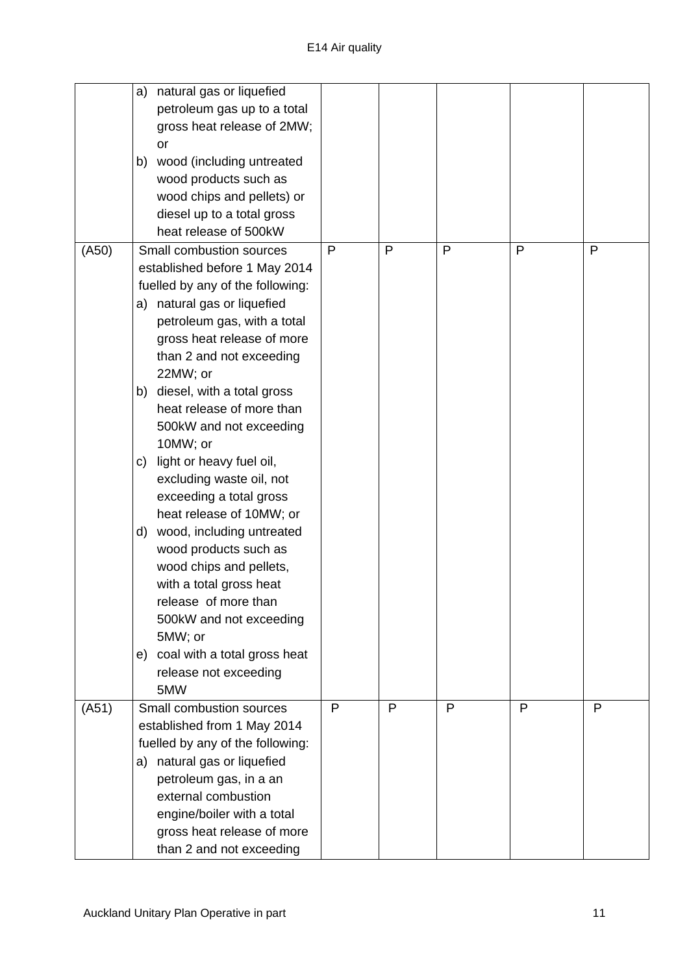|       | natural gas or liquefied<br>a)     |   |   |   |              |   |
|-------|------------------------------------|---|---|---|--------------|---|
|       | petroleum gas up to a total        |   |   |   |              |   |
|       | gross heat release of 2MW;         |   |   |   |              |   |
|       | or                                 |   |   |   |              |   |
|       | wood (including untreated<br>b)    |   |   |   |              |   |
|       | wood products such as              |   |   |   |              |   |
|       | wood chips and pellets) or         |   |   |   |              |   |
|       | diesel up to a total gross         |   |   |   |              |   |
|       | heat release of 500kW              |   |   |   |              |   |
| (A50) | Small combustion sources           | P | P | P | P            | P |
|       | established before 1 May 2014      |   |   |   |              |   |
|       | fuelled by any of the following:   |   |   |   |              |   |
|       | natural gas or liquefied<br>a)     |   |   |   |              |   |
|       | petroleum gas, with a total        |   |   |   |              |   |
|       | gross heat release of more         |   |   |   |              |   |
|       | than 2 and not exceeding           |   |   |   |              |   |
|       | 22MW; or                           |   |   |   |              |   |
|       | diesel, with a total gross<br>b)   |   |   |   |              |   |
|       | heat release of more than          |   |   |   |              |   |
|       | 500kW and not exceeding            |   |   |   |              |   |
|       | 10MW; or                           |   |   |   |              |   |
|       | light or heavy fuel oil,<br>C)     |   |   |   |              |   |
|       | excluding waste oil, not           |   |   |   |              |   |
|       | exceeding a total gross            |   |   |   |              |   |
|       | heat release of 10MW; or           |   |   |   |              |   |
|       | wood, including untreated<br>d)    |   |   |   |              |   |
|       | wood products such as              |   |   |   |              |   |
|       | wood chips and pellets,            |   |   |   |              |   |
|       | with a total gross heat            |   |   |   |              |   |
|       | release of more than               |   |   |   |              |   |
|       |                                    |   |   |   |              |   |
|       | 500kW and not exceeding<br>5MW; or |   |   |   |              |   |
|       |                                    |   |   |   |              |   |
|       | e) coal with a total gross heat    |   |   |   |              |   |
|       | release not exceeding<br>5MW       |   |   |   |              |   |
|       | Small combustion sources           | P | P | P | $\mathsf{P}$ | P |
| (A51) | established from 1 May 2014        |   |   |   |              |   |
|       |                                    |   |   |   |              |   |
|       | fuelled by any of the following:   |   |   |   |              |   |
|       | natural gas or liquefied<br>a)     |   |   |   |              |   |
|       | petroleum gas, in a an             |   |   |   |              |   |
|       | external combustion                |   |   |   |              |   |
|       | engine/boiler with a total         |   |   |   |              |   |
|       | gross heat release of more         |   |   |   |              |   |
|       | than 2 and not exceeding           |   |   |   |              |   |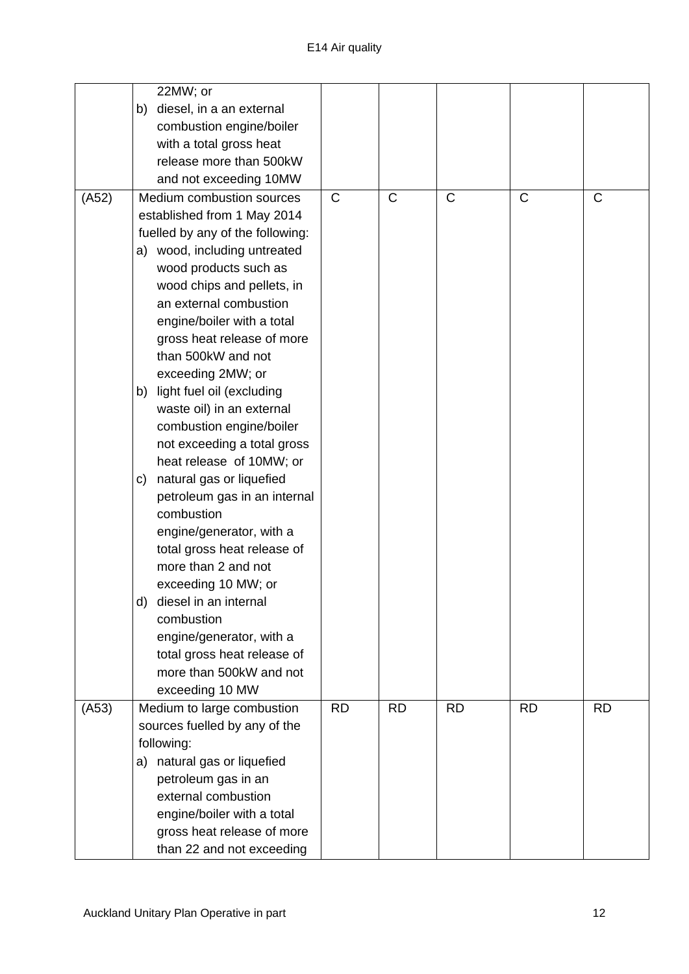|       | 22MW; or                         |              |              |              |              |              |
|-------|----------------------------------|--------------|--------------|--------------|--------------|--------------|
|       | diesel, in a an external<br>b)   |              |              |              |              |              |
|       | combustion engine/boiler         |              |              |              |              |              |
|       | with a total gross heat          |              |              |              |              |              |
|       | release more than 500kW          |              |              |              |              |              |
|       | and not exceeding 10MW           |              |              |              |              |              |
| (A52) | Medium combustion sources        | $\mathsf{C}$ | $\mathsf{C}$ | $\mathsf{C}$ | $\mathsf{C}$ | $\mathsf{C}$ |
|       | established from 1 May 2014      |              |              |              |              |              |
|       | fuelled by any of the following: |              |              |              |              |              |
|       | a) wood, including untreated     |              |              |              |              |              |
|       | wood products such as            |              |              |              |              |              |
|       | wood chips and pellets, in       |              |              |              |              |              |
|       | an external combustion           |              |              |              |              |              |
|       | engine/boiler with a total       |              |              |              |              |              |
|       | gross heat release of more       |              |              |              |              |              |
|       | than 500kW and not               |              |              |              |              |              |
|       | exceeding 2MW; or                |              |              |              |              |              |
|       | light fuel oil (excluding<br>b)  |              |              |              |              |              |
|       | waste oil) in an external        |              |              |              |              |              |
|       | combustion engine/boiler         |              |              |              |              |              |
|       | not exceeding a total gross      |              |              |              |              |              |
|       | heat release of 10MW; or         |              |              |              |              |              |
|       | natural gas or liquefied<br>C)   |              |              |              |              |              |
|       | petroleum gas in an internal     |              |              |              |              |              |
|       | combustion                       |              |              |              |              |              |
|       | engine/generator, with a         |              |              |              |              |              |
|       | total gross heat release of      |              |              |              |              |              |
|       | more than 2 and not              |              |              |              |              |              |
|       | exceeding 10 MW; or              |              |              |              |              |              |
|       | diesel in an internal<br>d)      |              |              |              |              |              |
|       | combustion                       |              |              |              |              |              |
|       | engine/generator, with a         |              |              |              |              |              |
|       | total gross heat release of      |              |              |              |              |              |
|       | more than 500kW and not          |              |              |              |              |              |
|       | exceeding 10 MW                  |              |              |              |              |              |
| (A53) | Medium to large combustion       | <b>RD</b>    | <b>RD</b>    | <b>RD</b>    | <b>RD</b>    | <b>RD</b>    |
|       | sources fuelled by any of the    |              |              |              |              |              |
|       | following:                       |              |              |              |              |              |
|       | natural gas or liquefied<br>a)   |              |              |              |              |              |
|       | petroleum gas in an              |              |              |              |              |              |
|       | external combustion              |              |              |              |              |              |
|       | engine/boiler with a total       |              |              |              |              |              |
|       | gross heat release of more       |              |              |              |              |              |
|       | than 22 and not exceeding        |              |              |              |              |              |
|       |                                  |              |              |              |              |              |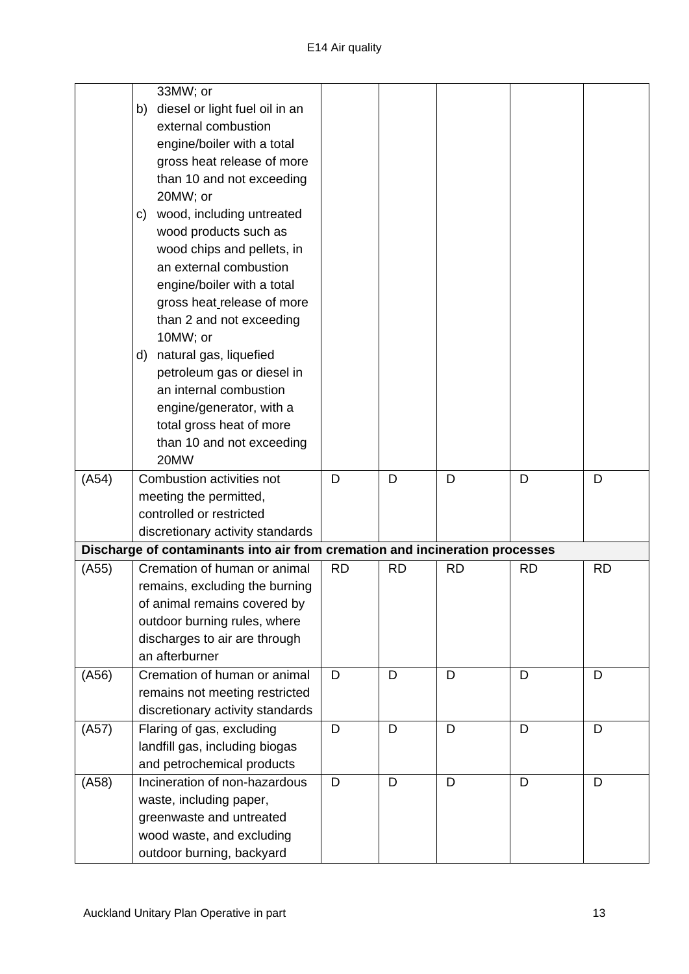|       | 33MW; or                                                                     |           |           |           |           |           |
|-------|------------------------------------------------------------------------------|-----------|-----------|-----------|-----------|-----------|
|       | diesel or light fuel oil in an<br>b)                                         |           |           |           |           |           |
|       | external combustion                                                          |           |           |           |           |           |
|       | engine/boiler with a total                                                   |           |           |           |           |           |
|       | gross heat release of more                                                   |           |           |           |           |           |
|       | than 10 and not exceeding                                                    |           |           |           |           |           |
|       | 20MW; or                                                                     |           |           |           |           |           |
|       | wood, including untreated                                                    |           |           |           |           |           |
|       | C)<br>wood products such as                                                  |           |           |           |           |           |
|       | wood chips and pellets, in                                                   |           |           |           |           |           |
|       | an external combustion                                                       |           |           |           |           |           |
|       | engine/boiler with a total                                                   |           |           |           |           |           |
|       |                                                                              |           |           |           |           |           |
|       | gross heat release of more<br>than 2 and not exceeding                       |           |           |           |           |           |
|       | 10MW; or                                                                     |           |           |           |           |           |
|       | natural gas, liquefied<br>d)                                                 |           |           |           |           |           |
|       | petroleum gas or diesel in                                                   |           |           |           |           |           |
|       | an internal combustion                                                       |           |           |           |           |           |
|       | engine/generator, with a                                                     |           |           |           |           |           |
|       | total gross heat of more                                                     |           |           |           |           |           |
|       | than 10 and not exceeding                                                    |           |           |           |           |           |
|       | 20MW                                                                         |           |           |           |           |           |
| (A54) | Combustion activities not                                                    | D         | D         | D         | D         | D         |
|       | meeting the permitted,                                                       |           |           |           |           |           |
|       | controlled or restricted                                                     |           |           |           |           |           |
|       | discretionary activity standards                                             |           |           |           |           |           |
|       | Discharge of contaminants into air from cremation and incineration processes |           |           |           |           |           |
| (A55) | Cremation of human or animal                                                 | <b>RD</b> | <b>RD</b> | <b>RD</b> | <b>RD</b> | <b>RD</b> |
|       | remains, excluding the burning                                               |           |           |           |           |           |
|       | of animal remains covered by                                                 |           |           |           |           |           |
|       | outdoor burning rules, where                                                 |           |           |           |           |           |
|       | discharges to air are through                                                |           |           |           |           |           |
|       | an afterburner                                                               |           |           |           |           |           |
| (A56) | Cremation of human or animal                                                 | D         | D         | D         | D         | D         |
|       | remains not meeting restricted                                               |           |           |           |           |           |
|       | discretionary activity standards                                             |           |           |           |           |           |
| (457) | Flaring of gas, excluding                                                    | D         | D         | D         | D         | D         |
|       | landfill gas, including biogas                                               |           |           |           |           |           |
|       | and petrochemical products                                                   |           |           |           |           |           |
| (A58) | Incineration of non-hazardous                                                | D         | D         | D         | D         | D         |
|       | waste, including paper,                                                      |           |           |           |           |           |
|       | greenwaste and untreated                                                     |           |           |           |           |           |
|       | wood waste, and excluding                                                    |           |           |           |           |           |
|       | outdoor burning, backyard                                                    |           |           |           |           |           |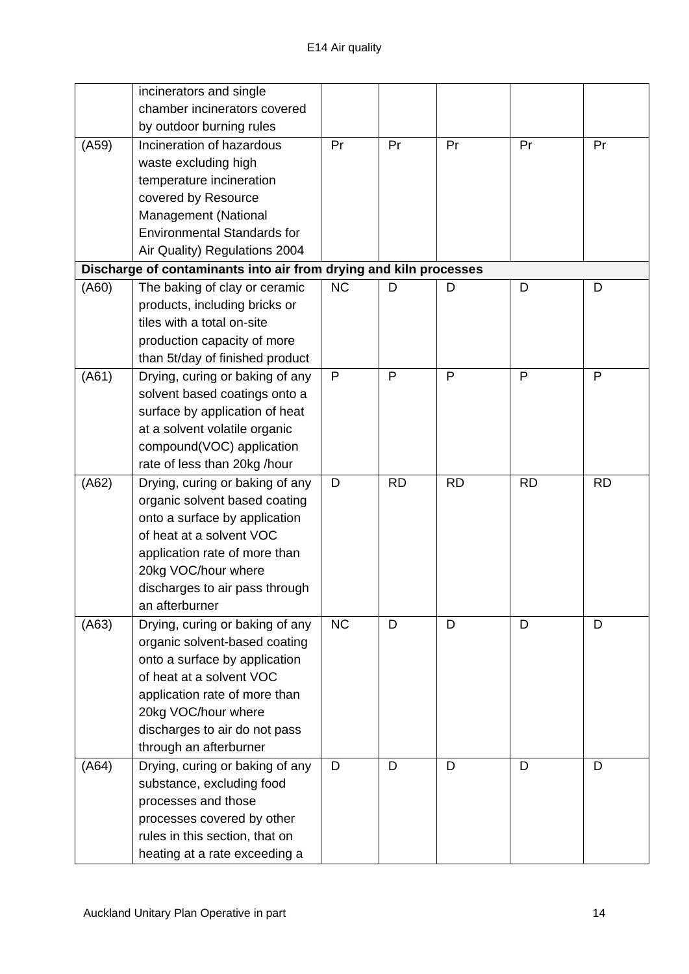|       | incinerators and single                                           |              |           |           |           |           |
|-------|-------------------------------------------------------------------|--------------|-----------|-----------|-----------|-----------|
|       | chamber incinerators covered                                      |              |           |           |           |           |
|       | by outdoor burning rules                                          |              |           |           |           |           |
| (A59) | Incineration of hazardous                                         | Pr           | Pr        | Pr        | Pr        | Pr        |
|       | waste excluding high                                              |              |           |           |           |           |
|       |                                                                   |              |           |           |           |           |
|       | temperature incineration                                          |              |           |           |           |           |
|       | covered by Resource                                               |              |           |           |           |           |
|       | Management (National                                              |              |           |           |           |           |
|       | <b>Environmental Standards for</b>                                |              |           |           |           |           |
|       | Air Quality) Regulations 2004                                     |              |           |           |           |           |
|       | Discharge of contaminants into air from drying and kiln processes |              |           |           |           |           |
| (A60) | The baking of clay or ceramic                                     | NC           | D         | D         | D         | D         |
|       | products, including bricks or                                     |              |           |           |           |           |
|       | tiles with a total on-site                                        |              |           |           |           |           |
|       | production capacity of more                                       |              |           |           |           |           |
|       | than 5t/day of finished product                                   |              |           |           |           |           |
| (A61) | Drying, curing or baking of any                                   | $\mathsf{P}$ | P         | P         | P         | P         |
|       | solvent based coatings onto a                                     |              |           |           |           |           |
|       | surface by application of heat                                    |              |           |           |           |           |
|       | at a solvent volatile organic                                     |              |           |           |           |           |
|       | compound(VOC) application                                         |              |           |           |           |           |
|       | rate of less than 20kg /hour                                      |              |           |           |           |           |
| (A62) | Drying, curing or baking of any                                   | D            | <b>RD</b> | <b>RD</b> | <b>RD</b> | <b>RD</b> |
|       | organic solvent based coating                                     |              |           |           |           |           |
|       | onto a surface by application                                     |              |           |           |           |           |
|       | of heat at a solvent VOC                                          |              |           |           |           |           |
|       | application rate of more than                                     |              |           |           |           |           |
|       | 20kg VOC/hour where                                               |              |           |           |           |           |
|       | discharges to air pass through                                    |              |           |           |           |           |
|       | an afterburner                                                    |              |           |           |           |           |
| (A63) | Drying, curing or baking of any                                   | <b>NC</b>    | D         | D         | D         | D         |
|       | organic solvent-based coating                                     |              |           |           |           |           |
|       | onto a surface by application                                     |              |           |           |           |           |
|       | of heat at a solvent VOC                                          |              |           |           |           |           |
|       | application rate of more than                                     |              |           |           |           |           |
|       | 20kg VOC/hour where                                               |              |           |           |           |           |
|       | discharges to air do not pass                                     |              |           |           |           |           |
|       | through an afterburner                                            |              |           |           |           |           |
| (A64) | Drying, curing or baking of any                                   | D            | D         | D         | D         | D         |
|       | substance, excluding food                                         |              |           |           |           |           |
|       | processes and those                                               |              |           |           |           |           |
|       | processes covered by other                                        |              |           |           |           |           |
|       | rules in this section, that on                                    |              |           |           |           |           |
|       |                                                                   |              |           |           |           |           |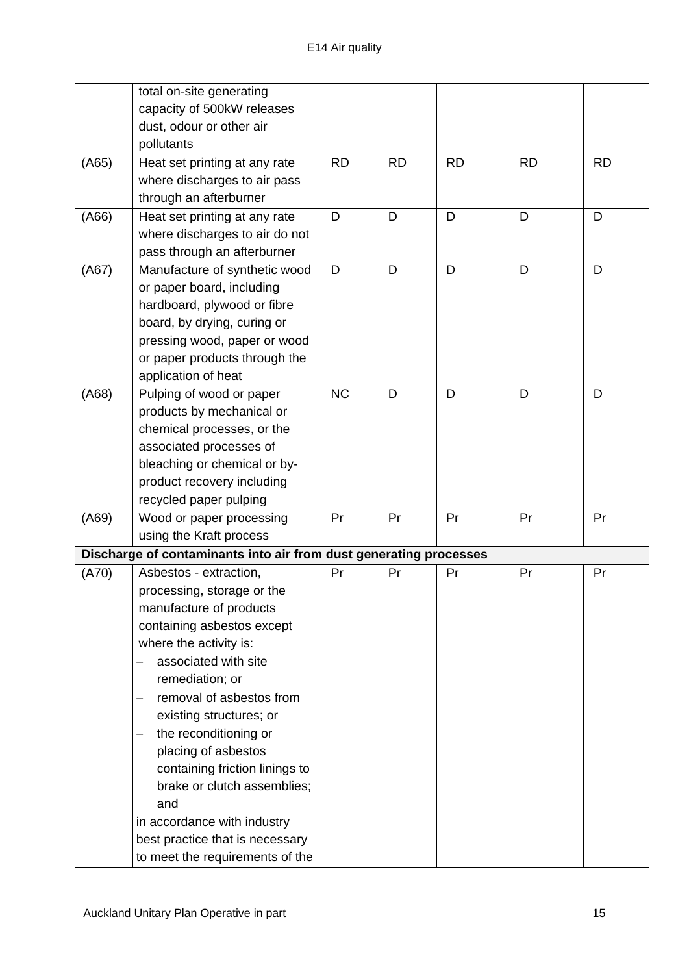|       | total on-site generating                                          |           |           |           |           |           |
|-------|-------------------------------------------------------------------|-----------|-----------|-----------|-----------|-----------|
|       | capacity of 500kW releases                                        |           |           |           |           |           |
|       | dust, odour or other air                                          |           |           |           |           |           |
|       | pollutants                                                        |           |           |           |           |           |
| (A65) | Heat set printing at any rate                                     | <b>RD</b> | <b>RD</b> | <b>RD</b> | <b>RD</b> | <b>RD</b> |
|       | where discharges to air pass                                      |           |           |           |           |           |
|       | through an afterburner                                            |           |           |           |           |           |
| (A66) | Heat set printing at any rate                                     | D         | D         | D         | D         | D         |
|       | where discharges to air do not                                    |           |           |           |           |           |
|       | pass through an afterburner                                       |           |           |           |           |           |
| (AG7) | Manufacture of synthetic wood                                     | D         | D         | D         | D         | D         |
|       | or paper board, including                                         |           |           |           |           |           |
|       | hardboard, plywood or fibre                                       |           |           |           |           |           |
|       | board, by drying, curing or                                       |           |           |           |           |           |
|       | pressing wood, paper or wood                                      |           |           |           |           |           |
|       | or paper products through the                                     |           |           |           |           |           |
|       | application of heat                                               |           |           |           |           |           |
| (A68) | Pulping of wood or paper                                          | <b>NC</b> | D         | D         | D         | D         |
|       | products by mechanical or                                         |           |           |           |           |           |
|       | chemical processes, or the                                        |           |           |           |           |           |
|       | associated processes of                                           |           |           |           |           |           |
|       | bleaching or chemical or by-                                      |           |           |           |           |           |
|       | product recovery including                                        |           |           |           |           |           |
|       | recycled paper pulping                                            |           |           |           |           |           |
| (A69) | Wood or paper processing                                          | Pr        | Pr        | Pr        | Pr        | Pr        |
|       | using the Kraft process                                           |           |           |           |           |           |
|       | Discharge of contaminants into air from dust generating processes |           |           |           |           |           |
| (A70) | Asbestos - extraction,                                            | Pr        | Pr        | Pr        | Pr        | Pr        |
|       | processing, storage or the                                        |           |           |           |           |           |
|       | manufacture of products                                           |           |           |           |           |           |
|       | containing asbestos except                                        |           |           |           |           |           |
|       | where the activity is:                                            |           |           |           |           |           |
|       | associated with site                                              |           |           |           |           |           |
|       | remediation; or                                                   |           |           |           |           |           |
|       | removal of asbestos from                                          |           |           |           |           |           |
|       | existing structures; or                                           |           |           |           |           |           |
|       | the reconditioning or<br>—                                        |           |           |           |           |           |
|       | placing of asbestos                                               |           |           |           |           |           |
|       | containing friction linings to                                    |           |           |           |           |           |
|       | brake or clutch assemblies;                                       |           |           |           |           |           |
|       | and                                                               |           |           |           |           |           |
|       | in accordance with industry                                       |           |           |           |           |           |
|       | best practice that is necessary                                   |           |           |           |           |           |
|       | to meet the requirements of the                                   |           |           |           |           |           |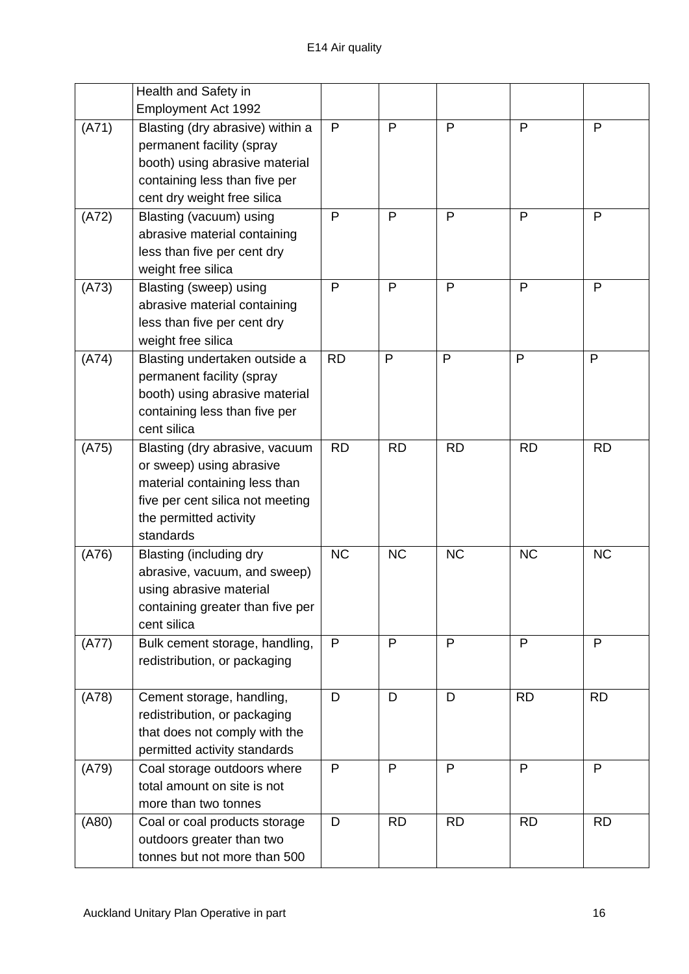|       | Health and Safety in                                                                                                                                                   |              |           |           |           |              |
|-------|------------------------------------------------------------------------------------------------------------------------------------------------------------------------|--------------|-----------|-----------|-----------|--------------|
|       | Employment Act 1992                                                                                                                                                    |              |           |           |           |              |
| (A71) | Blasting (dry abrasive) within a<br>permanent facility (spray<br>booth) using abrasive material<br>containing less than five per<br>cent dry weight free silica        | P            | P         | P         | P         | P            |
| (A72) | Blasting (vacuum) using<br>abrasive material containing<br>less than five per cent dry<br>weight free silica                                                           | P            | P         | P         | P         | P            |
| (A73) | Blasting (sweep) using<br>abrasive material containing<br>less than five per cent dry<br>weight free silica                                                            | P            | P         | P         | P         | P            |
| (A74) | Blasting undertaken outside a<br>permanent facility (spray<br>booth) using abrasive material<br>containing less than five per<br>cent silica                           | <b>RD</b>    | P         | P         | P         | $\mathsf{P}$ |
| (A75) | Blasting (dry abrasive, vacuum<br>or sweep) using abrasive<br>material containing less than<br>five per cent silica not meeting<br>the permitted activity<br>standards | <b>RD</b>    | <b>RD</b> | <b>RD</b> | <b>RD</b> | <b>RD</b>    |
| (A76) | Blasting (including dry<br>abrasive, vacuum, and sweep)<br>using abrasive material<br>containing greater than five per<br>cent silica                                  | <b>NC</b>    | <b>NC</b> | <b>NC</b> | <b>NC</b> | <b>NC</b>    |
| (A77) | Bulk cement storage, handling,<br>redistribution, or packaging                                                                                                         | $\mathsf{P}$ | P         | P         | P         | $\mathsf{P}$ |
| (A78) | Cement storage, handling,<br>redistribution, or packaging<br>that does not comply with the<br>permitted activity standards                                             | D            | D         | D         | <b>RD</b> | <b>RD</b>    |
| (A79) | Coal storage outdoors where<br>total amount on site is not<br>more than two tonnes                                                                                     | P            | P         | P         | P         | P            |
| (A80) | Coal or coal products storage<br>outdoors greater than two<br>tonnes but not more than 500                                                                             | D            | <b>RD</b> | <b>RD</b> | <b>RD</b> | <b>RD</b>    |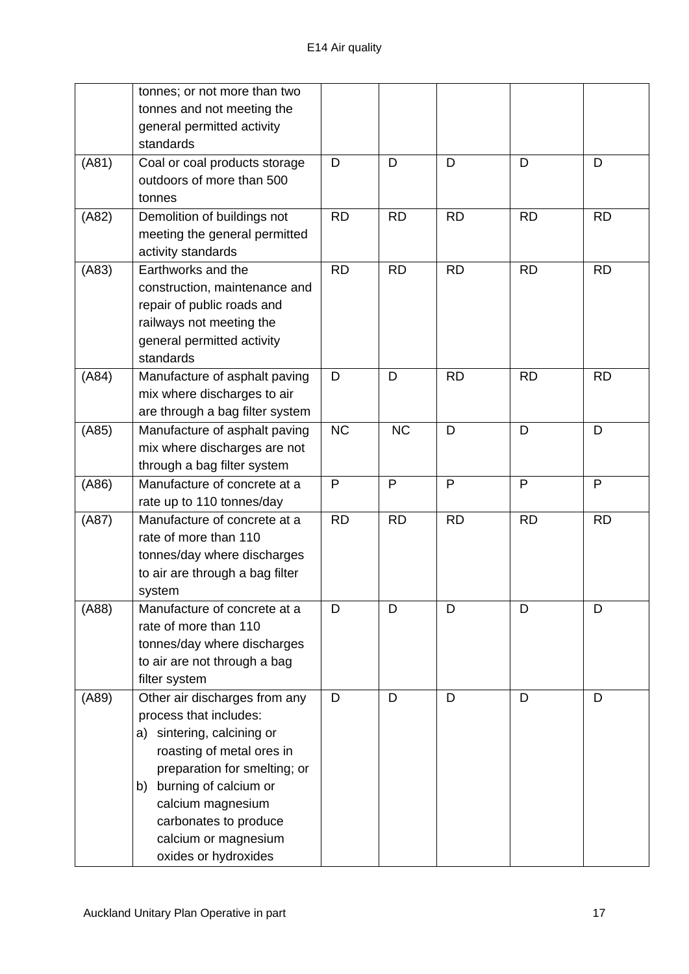|       | tonnes; or not more than two<br>tonnes and not meeting the<br>general permitted activity<br>standards                                                                                                                                                                              |           |           |              |           |           |
|-------|------------------------------------------------------------------------------------------------------------------------------------------------------------------------------------------------------------------------------------------------------------------------------------|-----------|-----------|--------------|-----------|-----------|
| (A81) | Coal or coal products storage<br>outdoors of more than 500<br>tonnes                                                                                                                                                                                                               | D         | D         | D            | D         | D         |
| (A82) | Demolition of buildings not<br>meeting the general permitted<br>activity standards                                                                                                                                                                                                 | <b>RD</b> | <b>RD</b> | <b>RD</b>    | <b>RD</b> | <b>RD</b> |
| (A83) | Earthworks and the<br>construction, maintenance and<br>repair of public roads and<br>railways not meeting the<br>general permitted activity<br>standards                                                                                                                           | <b>RD</b> | <b>RD</b> | <b>RD</b>    | <b>RD</b> | <b>RD</b> |
| (A84) | Manufacture of asphalt paving<br>mix where discharges to air<br>are through a bag filter system                                                                                                                                                                                    | D         | D         | <b>RD</b>    | <b>RD</b> | <b>RD</b> |
| (AB5) | Manufacture of asphalt paving<br>mix where discharges are not<br>through a bag filter system                                                                                                                                                                                       | <b>NC</b> | <b>NC</b> | D            | D         | D         |
| (A86) | Manufacture of concrete at a<br>rate up to 110 tonnes/day                                                                                                                                                                                                                          | P         | P         | $\mathsf{P}$ | P         | P         |
| (A87) | Manufacture of concrete at a<br>rate of more than 110<br>tonnes/day where discharges<br>to air are through a bag filter<br>system                                                                                                                                                  | <b>RD</b> | <b>RD</b> | <b>RD</b>    | <b>RD</b> | <b>RD</b> |
| (A88) | Manufacture of concrete at a<br>rate of more than 110<br>tonnes/day where discharges<br>to air are not through a bag<br>filter system                                                                                                                                              | D         | D         | D            | D         | D         |
| (A89) | Other air discharges from any<br>process that includes:<br>sintering, calcining or<br>a)<br>roasting of metal ores in<br>preparation for smelting; or<br>burning of calcium or<br>b)<br>calcium magnesium<br>carbonates to produce<br>calcium or magnesium<br>oxides or hydroxides | D         | D         | D            | D         | D         |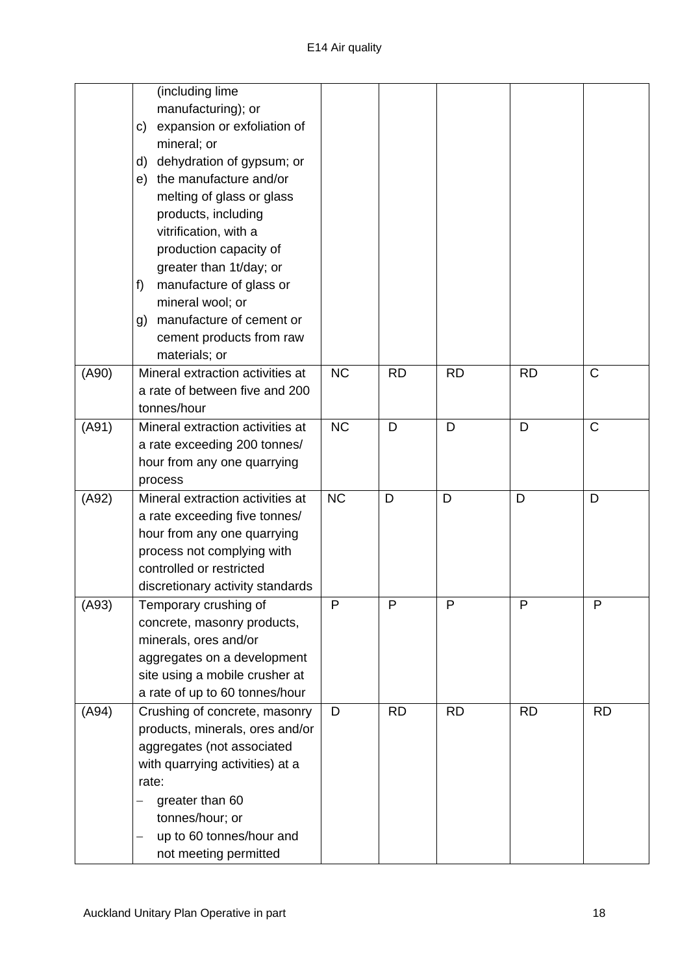|       | (including lime<br>manufacturing); or<br>expansion or exfoliation of<br>C)<br>mineral; or<br>dehydration of gypsum; or<br>d)<br>the manufacture and/or<br>e)<br>melting of glass or glass<br>products, including<br>vitrification, with a<br>production capacity of<br>greater than 1t/day; or<br>manufacture of glass or<br>f) |           |           |           |           |              |
|-------|---------------------------------------------------------------------------------------------------------------------------------------------------------------------------------------------------------------------------------------------------------------------------------------------------------------------------------|-----------|-----------|-----------|-----------|--------------|
|       | mineral wool; or<br>manufacture of cement or<br>g)<br>cement products from raw<br>materials; or                                                                                                                                                                                                                                 |           |           |           |           |              |
| (A90) | Mineral extraction activities at<br>a rate of between five and 200<br>tonnes/hour                                                                                                                                                                                                                                               | <b>NC</b> | <b>RD</b> | <b>RD</b> | <b>RD</b> | C            |
| (A91) | Mineral extraction activities at<br>a rate exceeding 200 tonnes/<br>hour from any one quarrying<br>process                                                                                                                                                                                                                      | <b>NC</b> | D         | D         | D         | $\mathsf{C}$ |
| (A92) | Mineral extraction activities at<br>a rate exceeding five tonnes/<br>hour from any one quarrying<br>process not complying with<br>controlled or restricted<br>discretionary activity standards                                                                                                                                  | <b>NC</b> | D         | D         | D         | D            |
| (A93) | Temporary crushing of<br>concrete, masonry products,<br>minerals, ores and/or<br>aggregates on a development<br>site using a mobile crusher at<br>a rate of up to 60 tonnes/hour                                                                                                                                                | P         | P         | P         | P         | P            |
| (A94) | Crushing of concrete, masonry<br>products, minerals, ores and/or<br>aggregates (not associated<br>with quarrying activities) at a<br>rate:<br>greater than 60<br>tonnes/hour; or<br>up to 60 tonnes/hour and<br>—<br>—<br>not meeting permitted                                                                                 | D         | <b>RD</b> | <b>RD</b> | <b>RD</b> | <b>RD</b>    |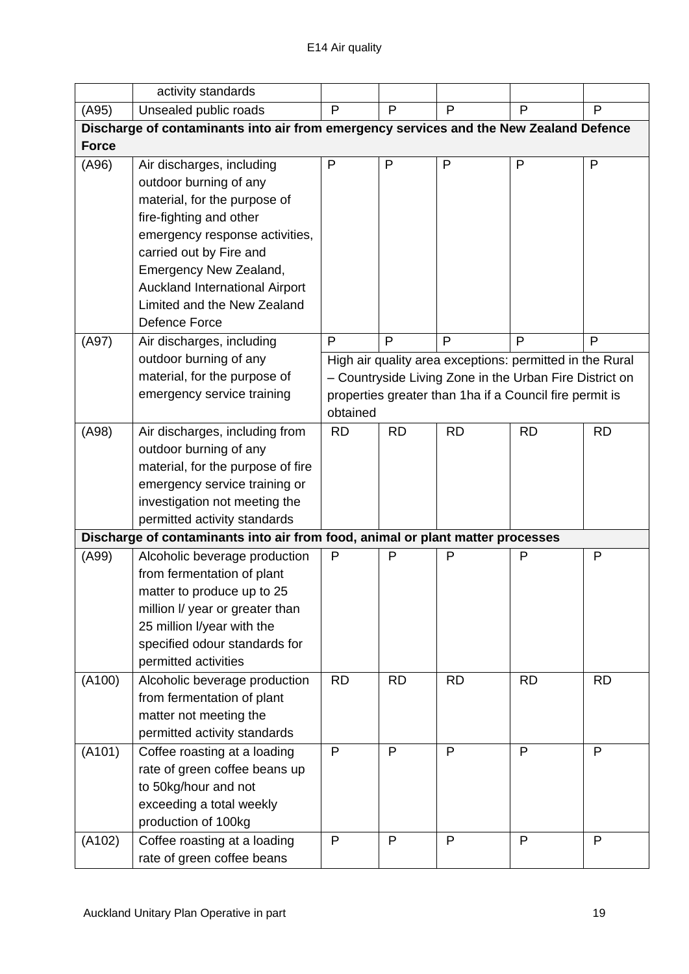|              | activity standards                                                                      |                                                          |           |              |              |           |  |
|--------------|-----------------------------------------------------------------------------------------|----------------------------------------------------------|-----------|--------------|--------------|-----------|--|
| (A95)        | Unsealed public roads                                                                   | P                                                        | P         | $\mathsf{P}$ | P            | P         |  |
|              | Discharge of contaminants into air from emergency services and the New Zealand Defence  |                                                          |           |              |              |           |  |
| <b>Force</b> |                                                                                         |                                                          |           |              |              |           |  |
| (A96)        | Air discharges, including                                                               | P                                                        | P         | P            | $\mathsf{P}$ | P         |  |
|              | outdoor burning of any                                                                  |                                                          |           |              |              |           |  |
|              | material, for the purpose of                                                            |                                                          |           |              |              |           |  |
|              | fire-fighting and other                                                                 |                                                          |           |              |              |           |  |
|              | emergency response activities,                                                          |                                                          |           |              |              |           |  |
|              | carried out by Fire and                                                                 |                                                          |           |              |              |           |  |
|              | Emergency New Zealand,                                                                  |                                                          |           |              |              |           |  |
|              | Auckland International Airport                                                          |                                                          |           |              |              |           |  |
|              | Limited and the New Zealand                                                             |                                                          |           |              |              |           |  |
|              | Defence Force                                                                           |                                                          |           |              |              |           |  |
| (A97)        | Air discharges, including                                                               | P                                                        | P         | P            | P            | P         |  |
|              | outdoor burning of any                                                                  | High air quality area exceptions: permitted in the Rural |           |              |              |           |  |
|              | material, for the purpose of<br>- Countryside Living Zone in the Urban Fire District on |                                                          |           |              |              |           |  |
|              | emergency service training                                                              | properties greater than 1ha if a Council fire permit is  |           |              |              |           |  |
|              |                                                                                         | obtained                                                 |           |              |              |           |  |
| (A98)        | Air discharges, including from                                                          | <b>RD</b>                                                | <b>RD</b> | <b>RD</b>    | <b>RD</b>    | <b>RD</b> |  |
|              | outdoor burning of any                                                                  |                                                          |           |              |              |           |  |
|              | material, for the purpose of fire                                                       |                                                          |           |              |              |           |  |
|              | emergency service training or                                                           |                                                          |           |              |              |           |  |
|              | investigation not meeting the                                                           |                                                          |           |              |              |           |  |
|              | permitted activity standards                                                            |                                                          |           |              |              |           |  |
|              | Discharge of contaminants into air from food, animal or plant matter processes          |                                                          |           |              |              |           |  |
| (A99)        | Alcoholic beverage production                                                           | P                                                        | P         | P            | P            | P         |  |
|              | from fermentation of plant                                                              |                                                          |           |              |              |           |  |
|              | matter to produce up to 25                                                              |                                                          |           |              |              |           |  |
|              | million I/ year or greater than                                                         |                                                          |           |              |              |           |  |
|              | 25 million I/year with the                                                              |                                                          |           |              |              |           |  |
|              | specified odour standards for                                                           |                                                          |           |              |              |           |  |
|              | permitted activities                                                                    |                                                          |           |              |              |           |  |
| (A100)       | Alcoholic beverage production                                                           | <b>RD</b>                                                | <b>RD</b> | <b>RD</b>    | <b>RD</b>    | <b>RD</b> |  |
|              | from fermentation of plant                                                              |                                                          |           |              |              |           |  |
|              | matter not meeting the                                                                  |                                                          |           |              |              |           |  |
|              | permitted activity standards                                                            |                                                          |           |              |              |           |  |
| (A101)       | Coffee roasting at a loading                                                            | P                                                        | P         | $\mathsf{P}$ | P            | P         |  |
|              | rate of green coffee beans up                                                           |                                                          |           |              |              |           |  |
|              | to 50kg/hour and not                                                                    |                                                          |           |              |              |           |  |
|              | exceeding a total weekly                                                                |                                                          |           |              |              |           |  |
|              | production of 100kg                                                                     |                                                          |           |              |              |           |  |
| (A102)       | Coffee roasting at a loading                                                            | P                                                        | P         | $\mathsf{P}$ | P            | P         |  |
|              | rate of green coffee beans                                                              |                                                          |           |              |              |           |  |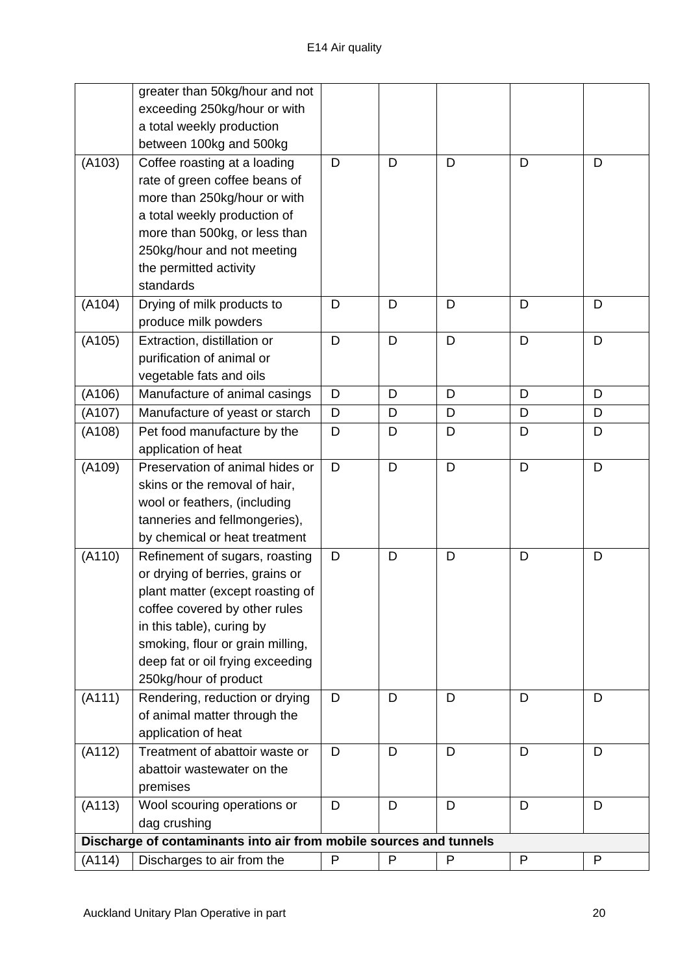|        | greater than 50kg/hour and not<br>exceeding 250kg/hour or with<br>a total weekly production<br>between 100kg and 500kg                                                                                                                                               |   |   |   |   |   |
|--------|----------------------------------------------------------------------------------------------------------------------------------------------------------------------------------------------------------------------------------------------------------------------|---|---|---|---|---|
| (A103) | Coffee roasting at a loading<br>rate of green coffee beans of<br>more than 250kg/hour or with<br>a total weekly production of<br>more than 500kg, or less than<br>250kg/hour and not meeting<br>the permitted activity<br>standards                                  | D | D | D | D | D |
| (A104) | Drying of milk products to<br>produce milk powders                                                                                                                                                                                                                   | D | D | D | D | D |
| (A105) | Extraction, distillation or<br>purification of animal or<br>vegetable fats and oils                                                                                                                                                                                  | D | D | D | D | D |
| (A106) | Manufacture of animal casings                                                                                                                                                                                                                                        | D | D | D | D | D |
| (A107) | Manufacture of yeast or starch                                                                                                                                                                                                                                       | D | D | D | D | D |
| (A108) | Pet food manufacture by the<br>application of heat                                                                                                                                                                                                                   | D | D | D | D | D |
| (A109) | Preservation of animal hides or<br>skins or the removal of hair,<br>wool or feathers, (including<br>tanneries and fellmongeries),<br>by chemical or heat treatment                                                                                                   | D | D | D | D | D |
| (A110) | Refinement of sugars, roasting<br>or drying of berries, grains or<br>plant matter (except roasting of<br>coffee covered by other rules<br>in this table), curing by<br>smoking, flour or grain milling,<br>deep fat or oil frying exceeding<br>250kg/hour of product | D | D | D | D | D |
| (A111) | Rendering, reduction or drying<br>of animal matter through the<br>application of heat                                                                                                                                                                                | D | D | D | D | D |
| (A112) | Treatment of abattoir waste or<br>abattoir wastewater on the<br>premises                                                                                                                                                                                             | D | D | D | D | D |
| (A113) | Wool scouring operations or<br>dag crushing                                                                                                                                                                                                                          | D | D | D | D | D |
|        | Discharge of contaminants into air from mobile sources and tunnels                                                                                                                                                                                                   |   |   |   |   |   |
| (A114) | Discharges to air from the                                                                                                                                                                                                                                           | P | P | P | P | P |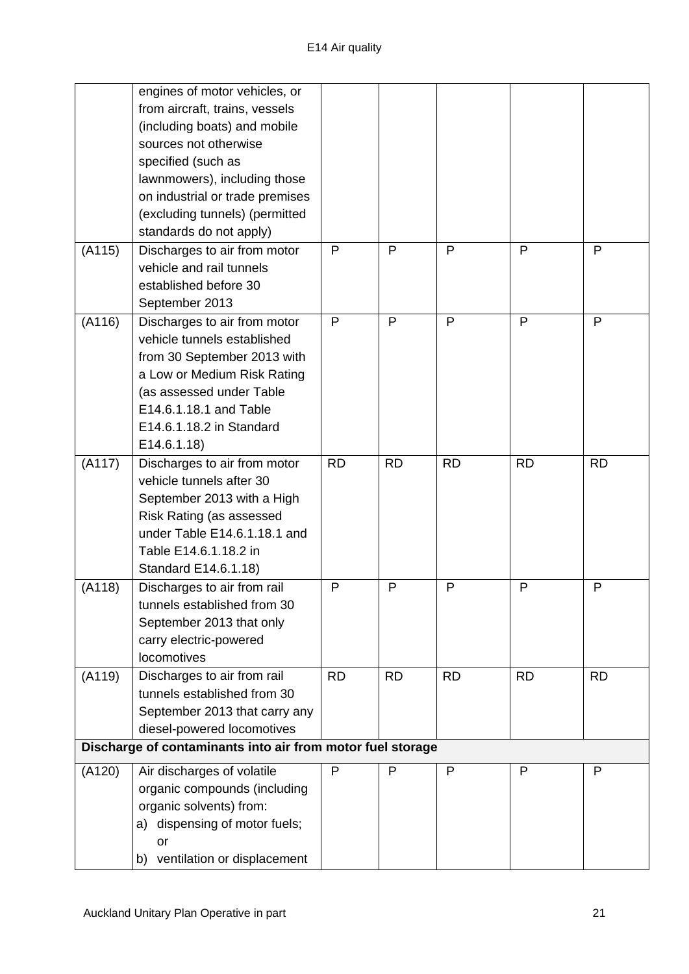|        | engines of motor vehicles, or<br>from aircraft, trains, vessels<br>(including boats) and mobile<br>sources not otherwise<br>specified (such as<br>lawnmowers), including those                                             |           |           |           |              |           |
|--------|----------------------------------------------------------------------------------------------------------------------------------------------------------------------------------------------------------------------------|-----------|-----------|-----------|--------------|-----------|
|        | on industrial or trade premises<br>(excluding tunnels) (permitted<br>standards do not apply)                                                                                                                               |           |           |           |              |           |
| (A115) | Discharges to air from motor<br>vehicle and rail tunnels<br>established before 30<br>September 2013                                                                                                                        | P         | P         | P         | P            | P         |
| (A116) | Discharges to air from motor<br>vehicle tunnels established<br>from 30 September 2013 with<br>a Low or Medium Risk Rating<br>(as assessed under Table<br>E14.6.1.18.1 and Table<br>E14.6.1.18.2 in Standard<br>E14.6.1.18) | P         | P         | P         | $\mathsf{P}$ | P         |
| (A117) | Discharges to air from motor<br>vehicle tunnels after 30<br>September 2013 with a High<br>Risk Rating (as assessed<br>under Table E14.6.1.18.1 and<br>Table E14.6.1.18.2 in<br>Standard E14.6.1.18)                        | <b>RD</b> | <b>RD</b> | <b>RD</b> | <b>RD</b>    | <b>RD</b> |
| (A118) | Discharges to air from rail<br>tunnels established from 30<br>September 2013 that only<br>carry electric-powered<br>locomotives                                                                                            | P         | P         | P         | P            | P         |
| (A119) | Discharges to air from rail<br>tunnels established from 30<br>September 2013 that carry any<br>diesel-powered locomotives                                                                                                  | <b>RD</b> | <b>RD</b> | <b>RD</b> | <b>RD</b>    | <b>RD</b> |
|        | Discharge of contaminants into air from motor fuel storage                                                                                                                                                                 |           |           |           |              |           |
| (A120) | Air discharges of volatile<br>organic compounds (including<br>organic solvents) from:<br>a) dispensing of motor fuels;<br>or<br>ventilation or displacement<br>b)                                                          | P         | P         | P         | P            | P         |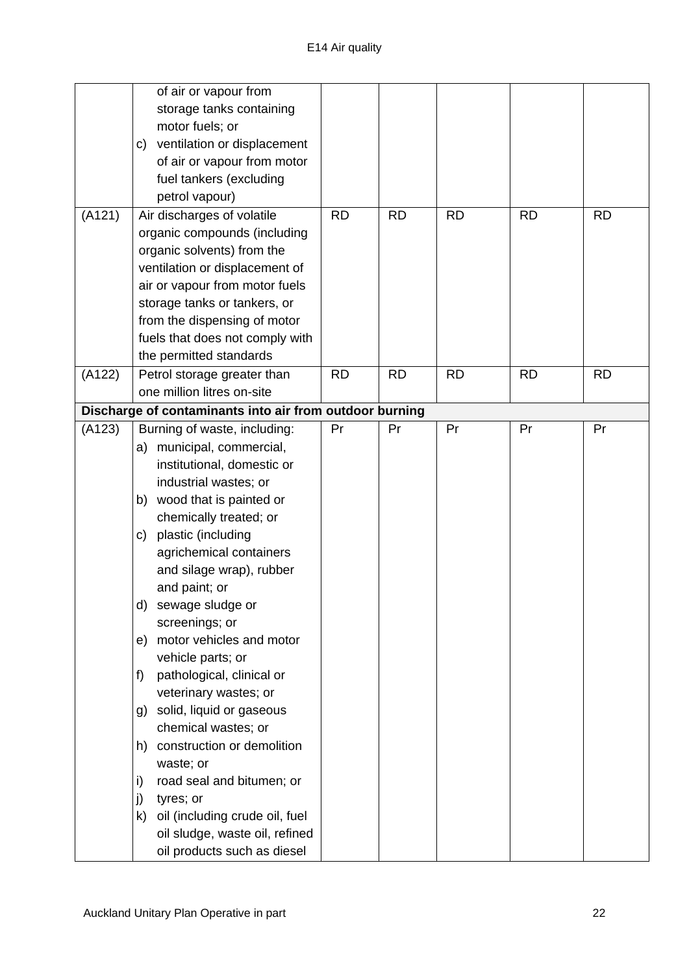|        | of air or vapour from                                   |           |           |           |           |           |
|--------|---------------------------------------------------------|-----------|-----------|-----------|-----------|-----------|
|        | storage tanks containing                                |           |           |           |           |           |
|        | motor fuels; or                                         |           |           |           |           |           |
|        | ventilation or displacement<br>C)                       |           |           |           |           |           |
|        | of air or vapour from motor                             |           |           |           |           |           |
|        | fuel tankers (excluding                                 |           |           |           |           |           |
|        | petrol vapour)                                          |           |           |           |           |           |
| (A121) | Air discharges of volatile                              | <b>RD</b> | <b>RD</b> | <b>RD</b> | <b>RD</b> | <b>RD</b> |
|        | organic compounds (including                            |           |           |           |           |           |
|        | organic solvents) from the                              |           |           |           |           |           |
|        | ventilation or displacement of                          |           |           |           |           |           |
|        | air or vapour from motor fuels                          |           |           |           |           |           |
|        | storage tanks or tankers, or                            |           |           |           |           |           |
|        | from the dispensing of motor                            |           |           |           |           |           |
|        | fuels that does not comply with                         |           |           |           |           |           |
|        | the permitted standards                                 |           |           |           |           |           |
| (A122) | Petrol storage greater than                             | <b>RD</b> | <b>RD</b> | <b>RD</b> | <b>RD</b> | <b>RD</b> |
|        | one million litres on-site                              |           |           |           |           |           |
|        | Discharge of contaminants into air from outdoor burning |           |           |           |           |           |
| (A123) | Burning of waste, including:                            | Pr        | Pr        | Pr        | Pr        | Pr        |
|        | municipal, commercial,<br>a)                            |           |           |           |           |           |
|        | institutional, domestic or                              |           |           |           |           |           |
|        | industrial wastes; or                                   |           |           |           |           |           |
|        | wood that is painted or<br>b)                           |           |           |           |           |           |
|        | chemically treated; or                                  |           |           |           |           |           |
|        | plastic (including<br>C)                                |           |           |           |           |           |
|        | agrichemical containers                                 |           |           |           |           |           |
|        | and silage wrap), rubber                                |           |           |           |           |           |
|        | and paint; or                                           |           |           |           |           |           |
|        | sewage sludge or<br>d)                                  |           |           |           |           |           |
|        | screenings; or                                          |           |           |           |           |           |
|        | motor vehicles and motor<br>e)                          |           |           |           |           |           |
|        | vehicle parts; or                                       |           |           |           |           |           |
|        | f)<br>pathological, clinical or                         |           |           |           |           |           |
|        | veterinary wastes; or                                   |           |           |           |           |           |
|        | solid, liquid or gaseous<br>g)                          |           |           |           |           |           |
|        | chemical wastes; or                                     |           |           |           |           |           |
|        | construction or demolition<br>h)                        |           |           |           |           |           |
|        | waste; or                                               |           |           |           |           |           |
|        | i)<br>road seal and bitumen; or                         |           |           |           |           |           |
|        | j)<br>tyres; or                                         |           |           |           |           |           |
|        | oil (including crude oil, fuel<br>k)                    |           |           |           |           |           |
|        | oil sludge, waste oil, refined                          |           |           |           |           |           |
|        | oil products such as diesel                             |           |           |           |           |           |
|        |                                                         |           |           |           |           |           |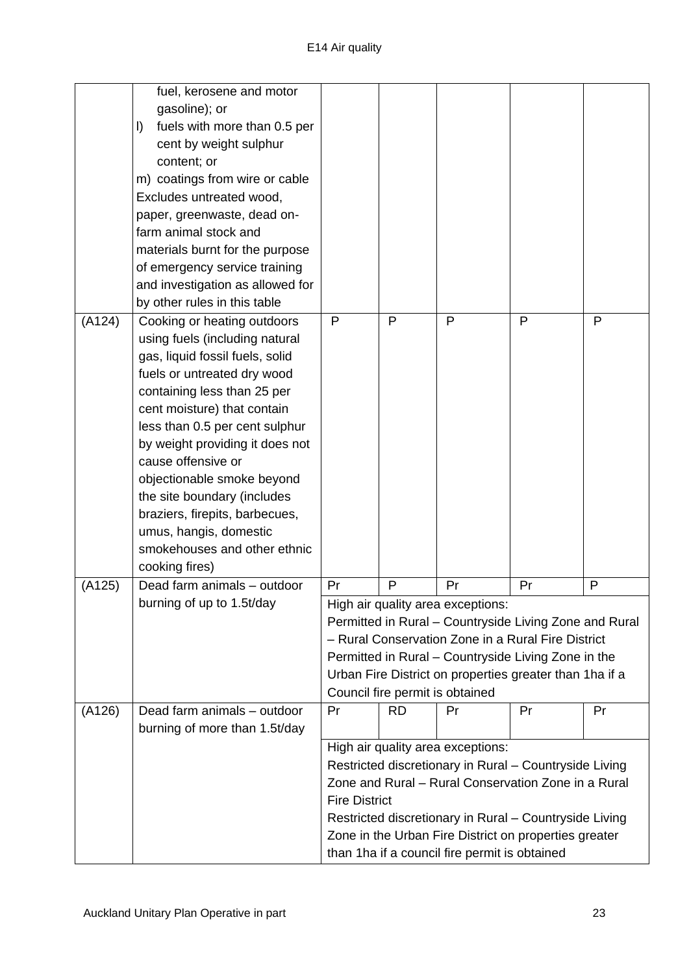|        | fuel, kerosene and motor<br>gasoline); or<br>fuels with more than 0.5 per<br>I)<br>cent by weight sulphur<br>content; or<br>m) coatings from wire or cable<br>Excludes untreated wood,<br>paper, greenwaste, dead on-<br>farm animal stock and<br>materials burnt for the purpose<br>of emergency service training                                                                                                                                                                                  |                      |           |                                                                                    |                                                                                                                                                                                                                                  |    |
|--------|-----------------------------------------------------------------------------------------------------------------------------------------------------------------------------------------------------------------------------------------------------------------------------------------------------------------------------------------------------------------------------------------------------------------------------------------------------------------------------------------------------|----------------------|-----------|------------------------------------------------------------------------------------|----------------------------------------------------------------------------------------------------------------------------------------------------------------------------------------------------------------------------------|----|
|        | and investigation as allowed for                                                                                                                                                                                                                                                                                                                                                                                                                                                                    |                      |           |                                                                                    |                                                                                                                                                                                                                                  |    |
| (A124) | by other rules in this table<br>Cooking or heating outdoors<br>using fuels (including natural<br>gas, liquid fossil fuels, solid<br>fuels or untreated dry wood<br>containing less than 25 per<br>cent moisture) that contain<br>less than 0.5 per cent sulphur<br>by weight providing it does not<br>cause offensive or<br>objectionable smoke beyond<br>the site boundary (includes<br>braziers, firepits, barbecues,<br>umus, hangis, domestic<br>smokehouses and other ethnic<br>cooking fires) | P                    | P         | P                                                                                  | $\mathsf{P}$                                                                                                                                                                                                                     | P  |
| (A125) | Dead farm animals - outdoor                                                                                                                                                                                                                                                                                                                                                                                                                                                                         | Pr                   | P         | Pr                                                                                 | Pr                                                                                                                                                                                                                               | P  |
|        | burning of up to 1.5t/day                                                                                                                                                                                                                                                                                                                                                                                                                                                                           |                      |           | High air quality area exceptions:<br>Council fire permit is obtained               | Permitted in Rural - Countryside Living Zone and Rural<br>- Rural Conservation Zone in a Rural Fire District<br>Permitted in Rural - Countryside Living Zone in the<br>Urban Fire District on properties greater than 1 ha if a  |    |
| (A126) | Dead farm animals - outdoor                                                                                                                                                                                                                                                                                                                                                                                                                                                                         | Pr                   | <b>RD</b> | Pr                                                                                 | Pr                                                                                                                                                                                                                               | Pr |
|        | burning of more than 1.5t/day                                                                                                                                                                                                                                                                                                                                                                                                                                                                       |                      |           |                                                                                    |                                                                                                                                                                                                                                  |    |
|        |                                                                                                                                                                                                                                                                                                                                                                                                                                                                                                     | <b>Fire District</b> |           | High air quality area exceptions:<br>than 1ha if a council fire permit is obtained | Restricted discretionary in Rural - Countryside Living<br>Zone and Rural - Rural Conservation Zone in a Rural<br>Restricted discretionary in Rural - Countryside Living<br>Zone in the Urban Fire District on properties greater |    |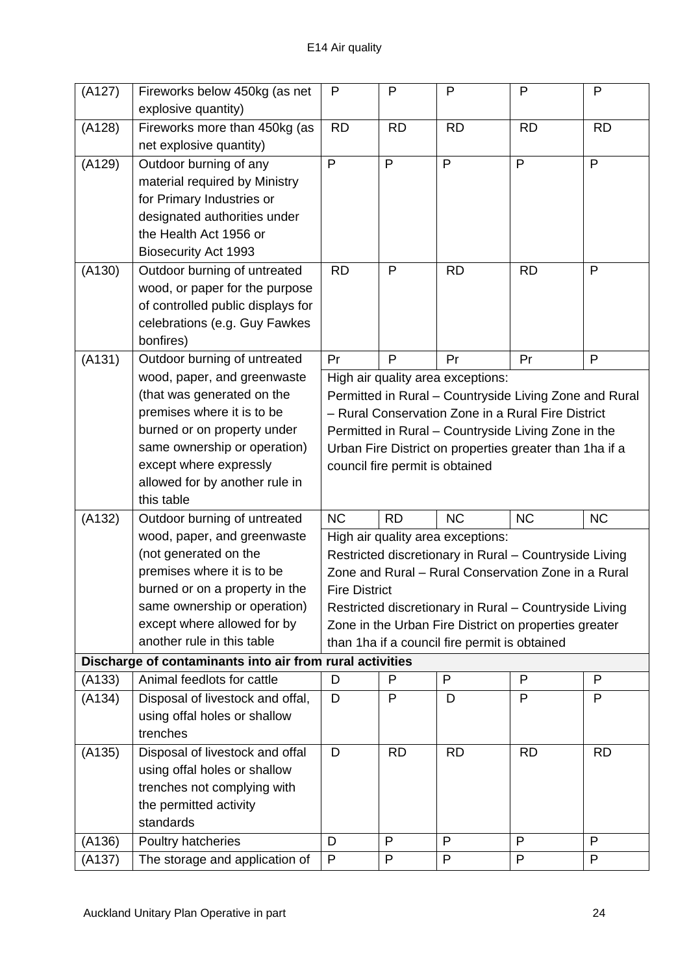| (A127) | Fireworks below 450kg (as net                            | P                    | P            | P                                             | $\mathsf{P}$                                             | $\mathsf{P}$ |
|--------|----------------------------------------------------------|----------------------|--------------|-----------------------------------------------|----------------------------------------------------------|--------------|
|        | explosive quantity)                                      |                      |              |                                               |                                                          |              |
| (A128) | Fireworks more than 450kg (as                            | <b>RD</b>            | <b>RD</b>    | <b>RD</b>                                     | <b>RD</b>                                                | <b>RD</b>    |
|        | net explosive quantity)                                  |                      |              |                                               |                                                          |              |
| (A129) | Outdoor burning of any                                   | P                    | P            | P                                             | $\mathsf{P}$                                             | P            |
|        | material required by Ministry                            |                      |              |                                               |                                                          |              |
|        | for Primary Industries or                                |                      |              |                                               |                                                          |              |
|        | designated authorities under                             |                      |              |                                               |                                                          |              |
|        | the Health Act 1956 or                                   |                      |              |                                               |                                                          |              |
|        | <b>Biosecurity Act 1993</b>                              |                      |              |                                               |                                                          |              |
| (A130) | Outdoor burning of untreated                             | <b>RD</b>            | $\mathsf{P}$ | <b>RD</b>                                     | <b>RD</b>                                                | P            |
|        | wood, or paper for the purpose                           |                      |              |                                               |                                                          |              |
|        | of controlled public displays for                        |                      |              |                                               |                                                          |              |
|        | celebrations (e.g. Guy Fawkes                            |                      |              |                                               |                                                          |              |
|        | bonfires)                                                |                      |              |                                               |                                                          |              |
| (A131) | Outdoor burning of untreated                             | Pr                   | $\mathsf{P}$ | Pr                                            | Pr                                                       | P            |
|        | wood, paper, and greenwaste                              |                      |              | High air quality area exceptions:             |                                                          |              |
|        | (that was generated on the                               |                      |              |                                               | Permitted in Rural - Countryside Living Zone and Rural   |              |
|        | premises where it is to be                               |                      |              |                                               | - Rural Conservation Zone in a Rural Fire District       |              |
|        | burned or on property under                              |                      |              |                                               | Permitted in Rural - Countryside Living Zone in the      |              |
|        | same ownership or operation)                             |                      |              |                                               | Urban Fire District on properties greater than 1 ha if a |              |
|        | except where expressly                                   |                      |              | council fire permit is obtained               |                                                          |              |
|        | allowed for by another rule in<br>this table             |                      |              |                                               |                                                          |              |
| (A132) | Outdoor burning of untreated                             | <b>NC</b>            | <b>RD</b>    | <b>NC</b>                                     | <b>NC</b>                                                | <b>NC</b>    |
|        | wood, paper, and greenwaste                              |                      |              | High air quality area exceptions:             |                                                          |              |
|        | (not generated on the                                    |                      |              |                                               | Restricted discretionary in Rural - Countryside Living   |              |
|        | premises where it is to be                               |                      |              |                                               | Zone and Rural – Rural Conservation Zone in a Rural      |              |
|        | burned or on a property in the                           | <b>Fire District</b> |              |                                               |                                                          |              |
|        | same ownership or operation)                             |                      |              |                                               | Restricted discretionary in Rural - Countryside Living   |              |
|        | except where allowed for by                              |                      |              |                                               | Zone in the Urban Fire District on properties greater    |              |
|        | another rule in this table                               |                      |              | than 1ha if a council fire permit is obtained |                                                          |              |
|        | Discharge of contaminants into air from rural activities |                      |              |                                               |                                                          |              |
| (A133) | Animal feedlots for cattle                               | D                    | P            | P                                             | P                                                        | P            |
| (A134) | Disposal of livestock and offal,                         | D                    | P            | D                                             | P                                                        | P            |
|        | using offal holes or shallow                             |                      |              |                                               |                                                          |              |
|        | trenches                                                 |                      |              |                                               |                                                          |              |
| (A135) | Disposal of livestock and offal                          | D                    | <b>RD</b>    | <b>RD</b>                                     | <b>RD</b>                                                | <b>RD</b>    |
|        | using offal holes or shallow                             |                      |              |                                               |                                                          |              |
|        | trenches not complying with                              |                      |              |                                               |                                                          |              |
|        | the permitted activity                                   |                      |              |                                               |                                                          |              |
|        | standards                                                |                      |              |                                               |                                                          |              |
| (A136) | Poultry hatcheries                                       | D                    | P            | P                                             | P                                                        | P            |
| (A137) | The storage and application of                           | P                    | P            | P                                             | P                                                        | P            |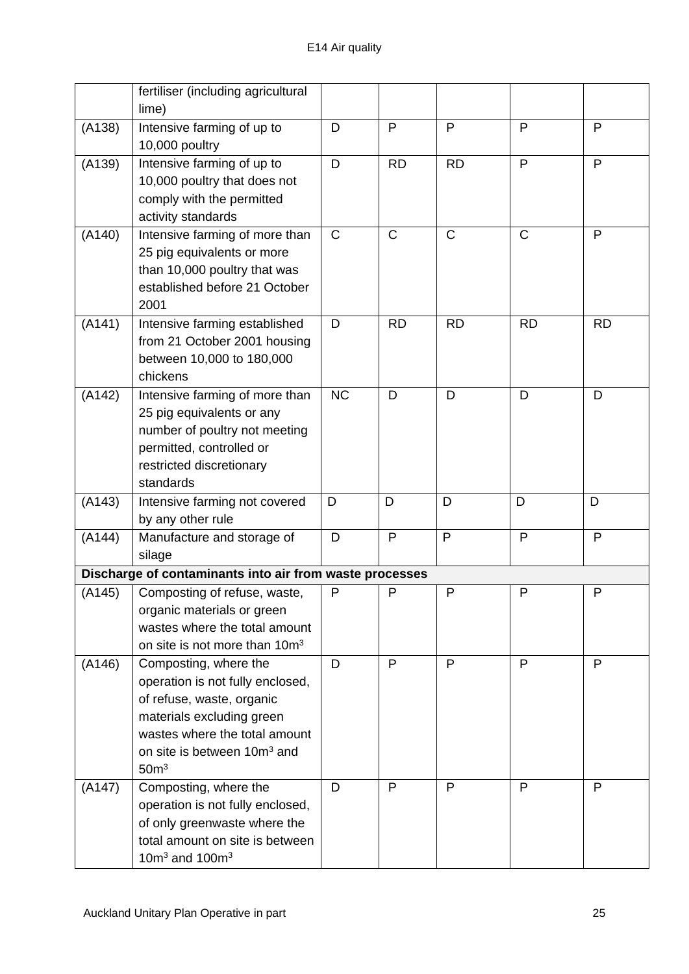|        | fertiliser (including agricultural<br>lime)                                                                                                                                                                         |              |              |              |              |              |
|--------|---------------------------------------------------------------------------------------------------------------------------------------------------------------------------------------------------------------------|--------------|--------------|--------------|--------------|--------------|
| (A138) | Intensive farming of up to<br>10,000 poultry                                                                                                                                                                        | D            | $\mathsf{P}$ | $\mathsf{P}$ | P            | $\mathsf{P}$ |
| (A139) | Intensive farming of up to<br>10,000 poultry that does not<br>comply with the permitted<br>activity standards                                                                                                       | D            | <b>RD</b>    | <b>RD</b>    | P            | P            |
| (A140) | Intensive farming of more than<br>25 pig equivalents or more<br>than 10,000 poultry that was<br>established before 21 October<br>2001                                                                               | $\mathsf{C}$ | $\mathsf{C}$ | $\mathsf{C}$ | $\mathsf{C}$ | P            |
| (A141) | Intensive farming established<br>from 21 October 2001 housing<br>between 10,000 to 180,000<br>chickens                                                                                                              | D            | <b>RD</b>    | <b>RD</b>    | <b>RD</b>    | <b>RD</b>    |
| (A142) | Intensive farming of more than<br>25 pig equivalents or any<br>number of poultry not meeting<br>permitted, controlled or<br>restricted discretionary<br>standards                                                   | <b>NC</b>    | D            | D            | D            | D            |
| (A143) | Intensive farming not covered<br>by any other rule                                                                                                                                                                  | D            | D            | D            | D            | D            |
| (A144) | Manufacture and storage of<br>silage                                                                                                                                                                                | D            | P            | P            | P            | $\mathsf{P}$ |
|        | Discharge of contaminants into air from waste processes                                                                                                                                                             |              |              |              |              |              |
| (A145) | Composting of refuse, waste,<br>organic materials or green<br>wastes where the total amount<br>on site is not more than 10m <sup>3</sup>                                                                            | P            | P            | $\mathsf{P}$ | P            | P            |
| (A146) | Composting, where the<br>operation is not fully enclosed,<br>of refuse, waste, organic<br>materials excluding green<br>wastes where the total amount<br>on site is between 10m <sup>3</sup> and<br>50 <sup>m3</sup> | D            | P            | P            | P            | P            |
| (A147) | Composting, where the<br>operation is not fully enclosed,<br>of only greenwaste where the<br>total amount on site is between<br>10 $m3$ and 100 $m3$                                                                | D            | P            | $\mathsf{P}$ | P            | P            |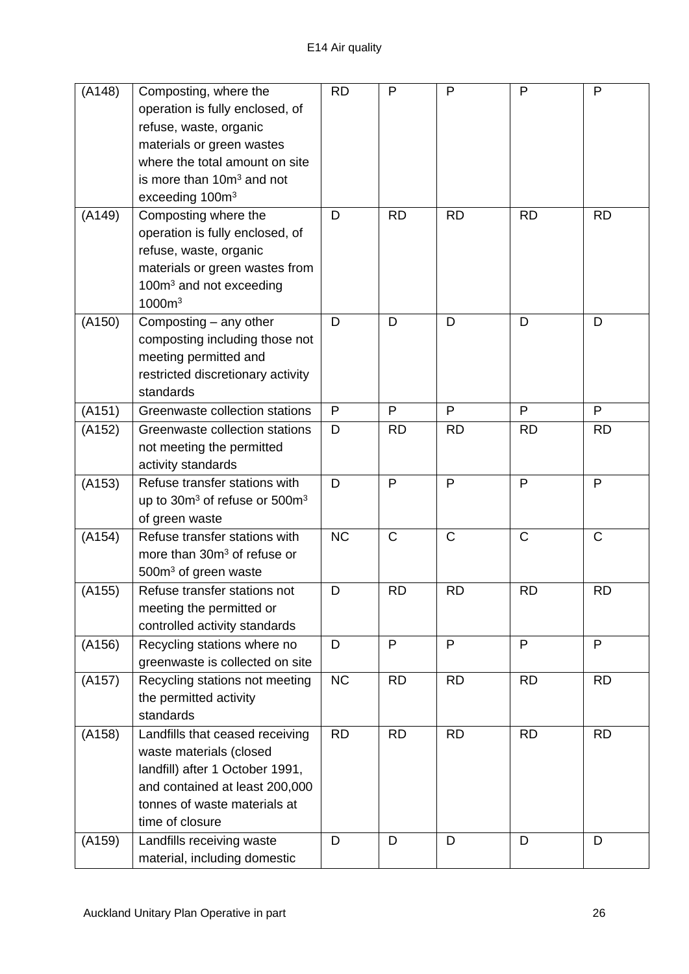| (A148) | Composting, where the                                 | <b>RD</b> | P            | $\mathsf{P}$ | $\mathsf{P}$ | $\mathsf{P}$ |
|--------|-------------------------------------------------------|-----------|--------------|--------------|--------------|--------------|
|        | operation is fully enclosed, of                       |           |              |              |              |              |
|        | refuse, waste, organic                                |           |              |              |              |              |
|        | materials or green wastes                             |           |              |              |              |              |
|        | where the total amount on site                        |           |              |              |              |              |
|        | is more than 10m <sup>3</sup> and not                 |           |              |              |              |              |
|        | exceeding 100m <sup>3</sup>                           |           |              |              |              |              |
| (A149) | Composting where the                                  | D         | <b>RD</b>    | <b>RD</b>    | <b>RD</b>    | <b>RD</b>    |
|        | operation is fully enclosed, of                       |           |              |              |              |              |
|        | refuse, waste, organic                                |           |              |              |              |              |
|        | materials or green wastes from                        |           |              |              |              |              |
|        | 100m <sup>3</sup> and not exceeding                   |           |              |              |              |              |
|        | 1000m <sup>3</sup>                                    |           |              |              |              |              |
| (A150) | Composting – any other                                | D         | D            | D            | D            | D            |
|        | composting including those not                        |           |              |              |              |              |
|        | meeting permitted and                                 |           |              |              |              |              |
|        | restricted discretionary activity                     |           |              |              |              |              |
|        | standards                                             |           |              |              |              |              |
| (A151) | Greenwaste collection stations                        | P         | P            | P            | P            | P            |
| (A152) | Greenwaste collection stations                        | D         | <b>RD</b>    | <b>RD</b>    | <b>RD</b>    | <b>RD</b>    |
|        | not meeting the permitted                             |           |              |              |              |              |
|        | activity standards                                    |           |              |              |              |              |
| (A153) | Refuse transfer stations with                         | D         | P            | P            | P            | P            |
|        | up to 30m <sup>3</sup> of refuse or 500m <sup>3</sup> |           |              |              |              |              |
|        | of green waste                                        |           |              |              |              |              |
| (A154) | Refuse transfer stations with                         | <b>NC</b> | $\mathsf{C}$ | $\mathsf{C}$ | $\mathsf{C}$ | $\mathsf C$  |
|        | more than 30m <sup>3</sup> of refuse or               |           |              |              |              |              |
|        | 500m <sup>3</sup> of green waste                      |           |              |              |              |              |
| (A155) | Refuse transfer stations not                          | D         | <b>RD</b>    | <b>RD</b>    | <b>RD</b>    | <b>RD</b>    |
|        | meeting the permitted or                              |           |              |              |              |              |
|        | controlled activity standards                         |           |              |              |              |              |
| (A156) | Recycling stations where no                           | D         | $\mathsf{P}$ | $\mathsf{P}$ | P            | P            |
|        | greenwaste is collected on site                       |           |              |              |              |              |
| (A157) | Recycling stations not meeting                        | <b>NC</b> | <b>RD</b>    | <b>RD</b>    | <b>RD</b>    | <b>RD</b>    |
|        | the permitted activity                                |           |              |              |              |              |
|        | standards                                             |           |              |              |              |              |
| (A158) | Landfills that ceased receiving                       | <b>RD</b> | <b>RD</b>    | <b>RD</b>    | <b>RD</b>    | <b>RD</b>    |
|        | waste materials (closed                               |           |              |              |              |              |
|        | landfill) after 1 October 1991,                       |           |              |              |              |              |
|        | and contained at least 200,000                        |           |              |              |              |              |
|        | tonnes of waste materials at                          |           |              |              |              |              |
|        | time of closure                                       |           |              |              |              |              |
| (A159) | Landfills receiving waste                             | D         | D            | D            | D            | D            |
|        | material, including domestic                          |           |              |              |              |              |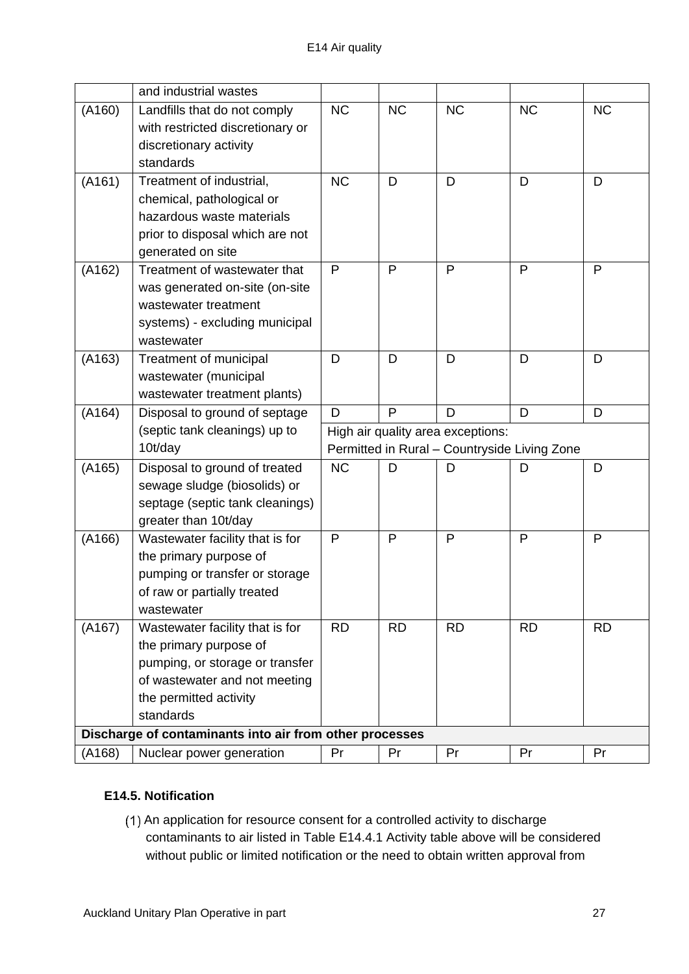|        | and industrial wastes                                                                                                                                                |                                   |           |                                              |              |           |
|--------|----------------------------------------------------------------------------------------------------------------------------------------------------------------------|-----------------------------------|-----------|----------------------------------------------|--------------|-----------|
| (A160) | Landfills that do not comply<br>with restricted discretionary or<br>discretionary activity<br>standards                                                              | <b>NC</b>                         | <b>NC</b> | <b>NC</b>                                    | <b>NC</b>    | <b>NC</b> |
| (A161) | Treatment of industrial,<br>chemical, pathological or<br>hazardous waste materials<br>prior to disposal which are not<br>generated on site                           | <b>NC</b>                         | D         | D                                            | D            | D         |
| (A162) | Treatment of wastewater that<br>was generated on-site (on-site<br>wastewater treatment<br>systems) - excluding municipal<br>wastewater                               | $\mathsf{P}$                      | P         | P                                            | P            | P         |
| (A163) | Treatment of municipal<br>wastewater (municipal<br>wastewater treatment plants)                                                                                      | D                                 | D         | D                                            | D            | D         |
| (A164) | Disposal to ground of septage                                                                                                                                        | D                                 | P         | D                                            | D            | D         |
|        |                                                                                                                                                                      | High air quality area exceptions: |           |                                              |              |           |
|        | (septic tank cleanings) up to                                                                                                                                        |                                   |           |                                              |              |           |
|        | 10t/day                                                                                                                                                              |                                   |           | Permitted in Rural - Countryside Living Zone |              |           |
| (A165) | Disposal to ground of treated<br>sewage sludge (biosolids) or<br>septage (septic tank cleanings)<br>greater than 10t/day                                             | <b>NC</b>                         | D         | D                                            | D            | D         |
| (A166) | Wastewater facility that is for<br>the primary purpose of<br>pumping or transfer or storage<br>of raw or partially treated<br>wastewater                             | P                                 | P         | P                                            | $\mathsf{P}$ | P         |
| (A167) | Wastewater facility that is for<br>the primary purpose of<br>pumping, or storage or transfer<br>of wastewater and not meeting<br>the permitted activity<br>standards | <b>RD</b>                         | <b>RD</b> | <b>RD</b>                                    | <b>RD</b>    | <b>RD</b> |
| (A168) | Discharge of contaminants into air from other processes<br>Nuclear power generation                                                                                  |                                   |           |                                              |              |           |

## **E14.5. Notification**

(1) An application for resource consent for a controlled activity to discharge contaminants to air listed in Table E14.4.1 Activity table above will be considered without public or limited notification or the need to obtain written approval from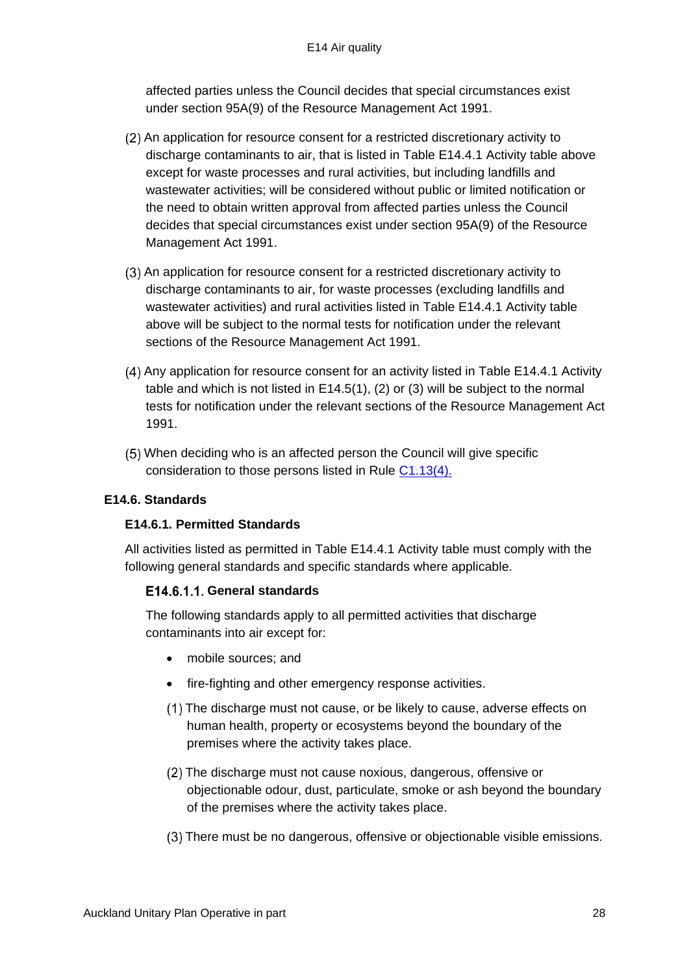affected parties unless the Council decides that special circumstances exist under section 95A(9) of the Resource Management Act 1991.

- An application for resource consent for a restricted discretionary activity to discharge contaminants to air, that is listed in Table E14.4.1 Activity table above except for waste processes and rural activities, but including landfills and wastewater activities; will be considered without public or limited notification or the need to obtain written approval from affected parties unless the Council decides that special circumstances exist under section 95A(9) of the Resource Management Act 1991.
- An application for resource consent for a restricted discretionary activity to discharge contaminants to air, for waste processes (excluding landfills and wastewater activities) and rural activities listed in Table E14.4.1 Activity table above will be subject to the normal tests for notification under the relevant sections of the Resource Management Act 1991.
- Any application for resource consent for an activity listed in Table E14.4.1 Activity table and which is not listed in E14.5(1), (2) or (3) will be subject to the normal tests for notification under the relevant sections of the Resource Management Act 1991.
- When deciding who is an affected person the Council will give specific consideration to those persons listed in Rule [C1.13\(4\).](http://unitaryplan.aucklandcouncil.govt.nz/Images/Auckland%20Unitary%20Plan%20Operative/Chapter%20C%20General%20Rules/C%20General%20rules.pdf)

## **E14.6. Standards**

## **E14.6.1. Permitted Standards**

All activities listed as permitted in Table E14.4.1 Activity table must comply with the following general standards and specific standards where applicable.

## **General standards**

The following standards apply to all permitted activities that discharge contaminants into air except for:

- mobile sources; and
- fire-fighting and other emergency response activities.
- The discharge must not cause, or be likely to cause, adverse effects on human health, property or ecosystems beyond the boundary of the premises where the activity takes place.
- (2) The discharge must not cause noxious, dangerous, offensive or objectionable odour, dust, particulate, smoke or ash beyond the boundary of the premises where the activity takes place.
- There must be no dangerous, offensive or objectionable visible emissions.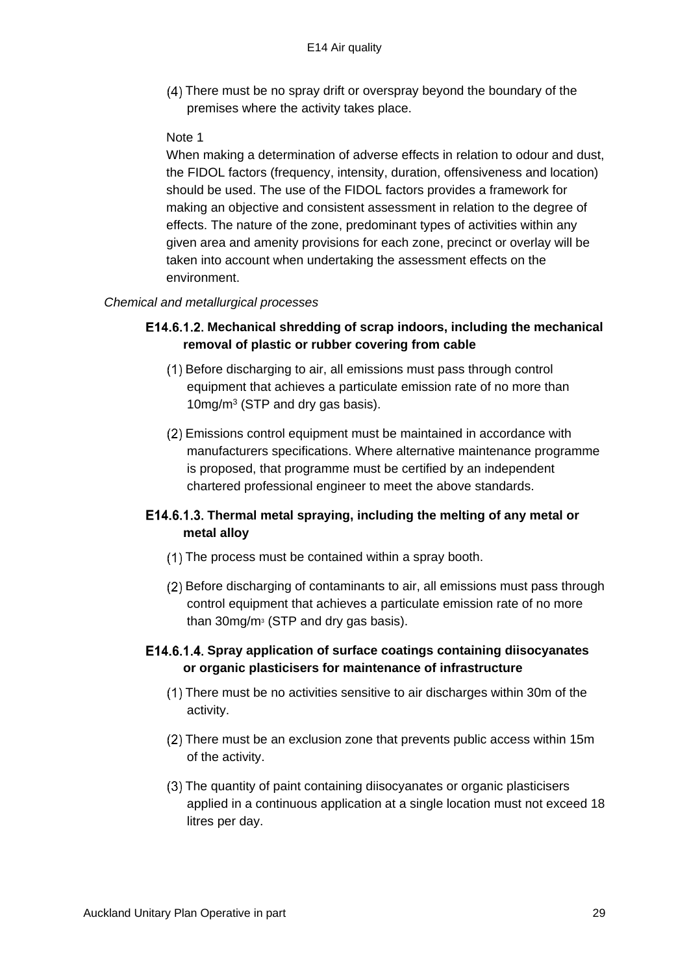There must be no spray drift or overspray beyond the boundary of the premises where the activity takes place.

#### Note 1

When making a determination of adverse effects in relation to odour and dust, the FIDOL factors (frequency, intensity, duration, offensiveness and location) should be used. The use of the FIDOL factors provides a framework for making an objective and consistent assessment in relation to the degree of effects. The nature of the zone, predominant types of activities within any given area and amenity provisions for each zone, precinct or overlay will be taken into account when undertaking the assessment effects on the environment.

#### *Chemical and metallurgical processes*

### **Mechanical shredding of scrap indoors, including the mechanical removal of plastic or rubber covering from cable**

- Before discharging to air, all emissions must pass through control equipment that achieves a particulate emission rate of no more than 10mg/m<sup>3</sup> (STP and dry gas basis).
- Emissions control equipment must be maintained in accordance with manufacturers specifications. Where alternative maintenance programme is proposed, that programme must be certified by an independent chartered professional engineer to meet the above standards.

## **Thermal metal spraying, including the melting of any metal or metal alloy**

- The process must be contained within a spray booth.
- Before discharging of contaminants to air, all emissions must pass through control equipment that achieves a particulate emission rate of no more than 30mg/m<sup>3</sup> (STP and dry gas basis).

### E14.6.1.4. Spray application of surface coatings containing diisocyanates **or organic plasticisers for maintenance of infrastructure**

- There must be no activities sensitive to air discharges within 30m of the activity.
- There must be an exclusion zone that prevents public access within 15m of the activity.
- The quantity of paint containing diisocyanates or organic plasticisers applied in a continuous application at a single location must not exceed 18 litres per day.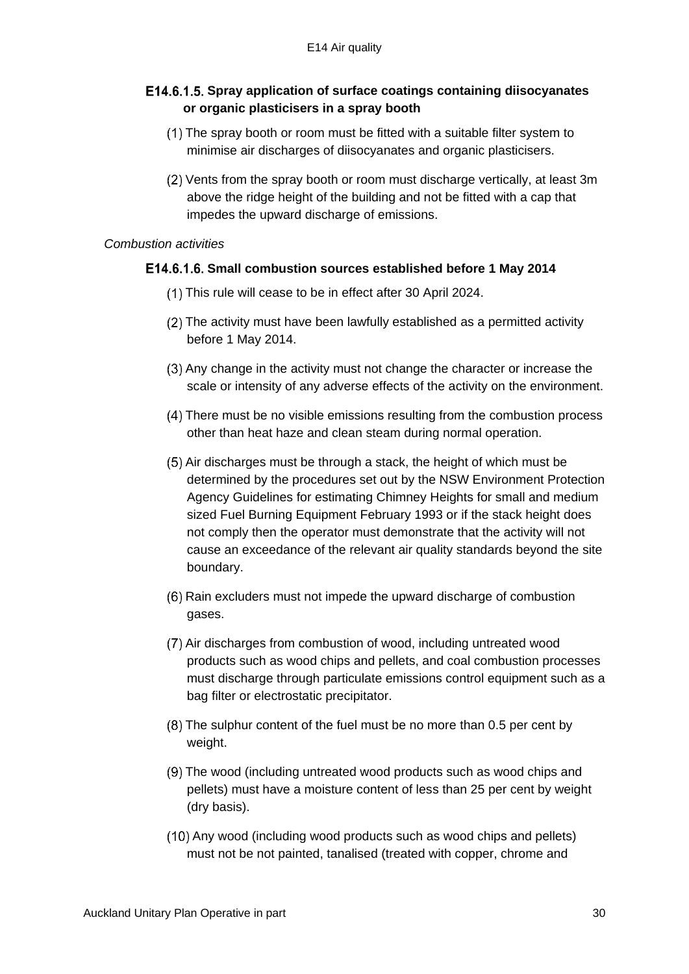# **Spray application of surface coatings containing diisocyanates or organic plasticisers in a spray booth**

- The spray booth or room must be fitted with a suitable filter system to minimise air discharges of diisocyanates and organic plasticisers.
- Vents from the spray booth or room must discharge vertically, at least 3m above the ridge height of the building and not be fitted with a cap that impedes the upward discharge of emissions.

#### *Combustion activities*

### **Small combustion sources established before 1 May 2014**

- This rule will cease to be in effect after 30 April 2024.
- The activity must have been lawfully established as a permitted activity before 1 May 2014.
- (3) Any change in the activity must not change the character or increase the scale or intensity of any adverse effects of the activity on the environment.
- There must be no visible emissions resulting from the combustion process other than heat haze and clean steam during normal operation.
- $(5)$  Air discharges must be through a stack, the height of which must be determined by the procedures set out by the NSW Environment Protection Agency Guidelines for estimating Chimney Heights for small and medium sized Fuel Burning Equipment February 1993 or if the stack height does not comply then the operator must demonstrate that the activity will not cause an exceedance of the relevant air quality standards beyond the site boundary.
- Rain excluders must not impede the upward discharge of combustion gases.
- (7) Air discharges from combustion of wood, including untreated wood products such as wood chips and pellets, and coal combustion processes must discharge through particulate emissions control equipment such as a bag filter or electrostatic precipitator.
- The sulphur content of the fuel must be no more than 0.5 per cent by weight.
- The wood (including untreated wood products such as wood chips and pellets) must have a moisture content of less than 25 per cent by weight (dry basis).
- (10) Any wood (including wood products such as wood chips and pellets) must not be not painted, tanalised (treated with copper, chrome and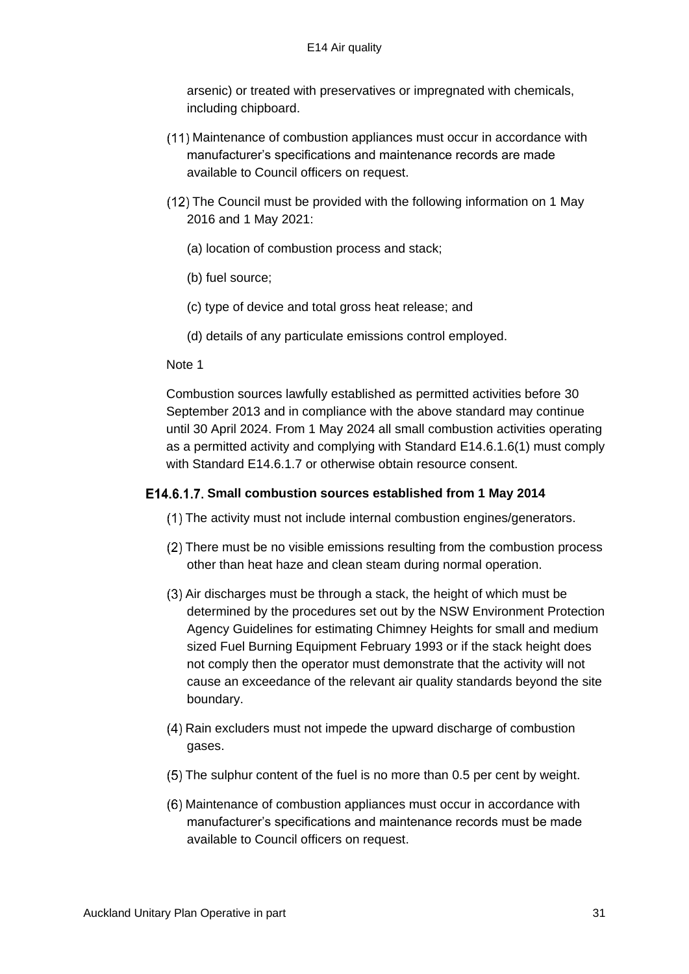arsenic) or treated with preservatives or impregnated with chemicals, including chipboard.

- Maintenance of combustion appliances must occur in accordance with manufacturer's specifications and maintenance records are made available to Council officers on request.
- The Council must be provided with the following information on 1 May 2016 and 1 May 2021:
	- (a) location of combustion process and stack;
	- (b) fuel source;
	- (c) type of device and total gross heat release; and
	- (d) details of any particulate emissions control employed.

#### Note 1

Combustion sources lawfully established as permitted activities before 30 September 2013 and in compliance with the above standard may continue until 30 April 2024. From 1 May 2024 all small combustion activities operating as a permitted activity and complying with Standard E14.6.1.6(1) must comply with Standard E14.6.1.7 or otherwise obtain resource consent.

#### E14.6.1.7. Small combustion sources established from 1 May 2014

- (1) The activity must not include internal combustion engines/generators.
- There must be no visible emissions resulting from the combustion process other than heat haze and clean steam during normal operation.
- $(3)$  Air discharges must be through a stack, the height of which must be determined by the procedures set out by the NSW Environment Protection Agency Guidelines for estimating Chimney Heights for small and medium sized Fuel Burning Equipment February 1993 or if the stack height does not comply then the operator must demonstrate that the activity will not cause an exceedance of the relevant air quality standards beyond the site boundary.
- Rain excluders must not impede the upward discharge of combustion gases.
- The sulphur content of the fuel is no more than 0.5 per cent by weight.
- Maintenance of combustion appliances must occur in accordance with manufacturer's specifications and maintenance records must be made available to Council officers on request.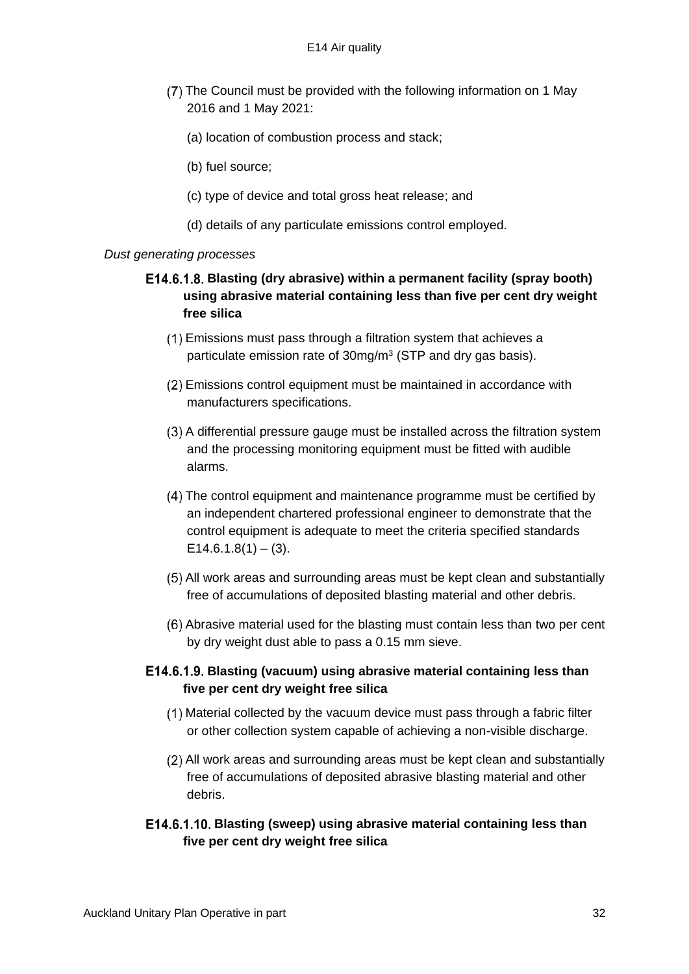- The Council must be provided with the following information on 1 May 2016 and 1 May 2021:
	- (a) location of combustion process and stack;
	- (b) fuel source;
	- (c) type of device and total gross heat release; and
	- (d) details of any particulate emissions control employed.

#### *Dust generating processes*

# **Blasting (dry abrasive) within a permanent facility (spray booth) using abrasive material containing less than five per cent dry weight free silica**

- Emissions must pass through a filtration system that achieves a particulate emission rate of 30mg/m<sup>3</sup> (STP and dry gas basis).
- Emissions control equipment must be maintained in accordance with manufacturers specifications.
- A differential pressure gauge must be installed across the filtration system and the processing monitoring equipment must be fitted with audible alarms.
- The control equipment and maintenance programme must be certified by an independent chartered professional engineer to demonstrate that the control equipment is adequate to meet the criteria specified standards  $E14.6.1.8(1) - (3)$ .
- All work areas and surrounding areas must be kept clean and substantially free of accumulations of deposited blasting material and other debris.
- Abrasive material used for the blasting must contain less than two per cent by dry weight dust able to pass a 0.15 mm sieve.

### **Blasting (vacuum) using abrasive material containing less than five per cent dry weight free silica**

- Material collected by the vacuum device must pass through a fabric filter or other collection system capable of achieving a non-visible discharge.
- All work areas and surrounding areas must be kept clean and substantially free of accumulations of deposited abrasive blasting material and other debris.
- **Blasting (sweep) using abrasive material containing less than five per cent dry weight free silica**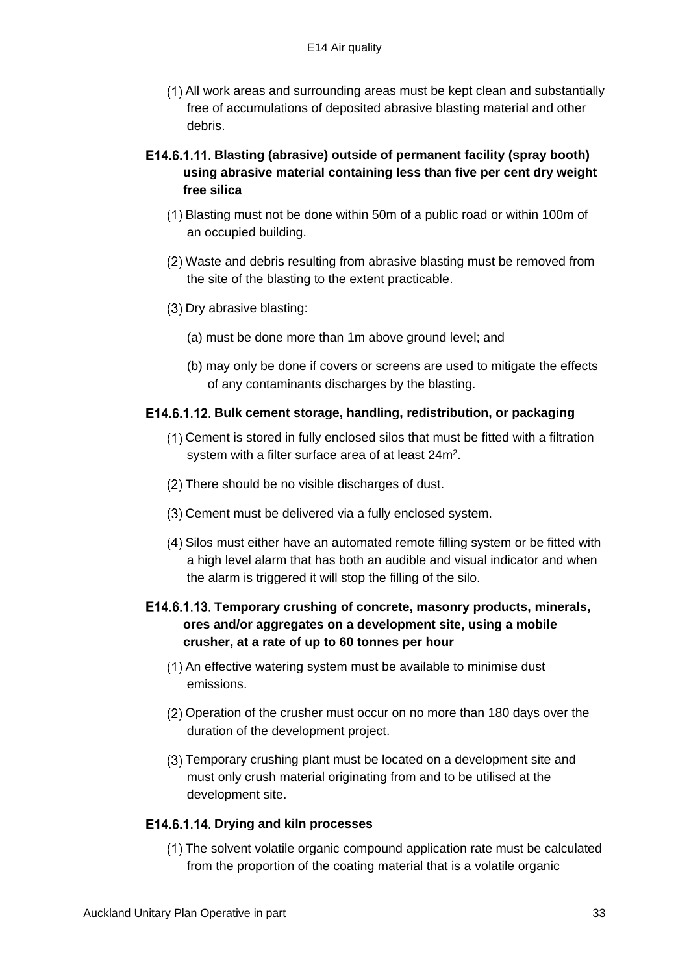All work areas and surrounding areas must be kept clean and substantially free of accumulations of deposited abrasive blasting material and other debris.

# **Blasting (abrasive) outside of permanent facility (spray booth) using abrasive material containing less than five per cent dry weight free silica**

- Blasting must not be done within 50m of a public road or within 100m of an occupied building.
- Waste and debris resulting from abrasive blasting must be removed from the site of the blasting to the extent practicable.
- $(3)$  Dry abrasive blasting:
	- (a) must be done more than 1m above ground level; and
	- (b) may only be done if covers or screens are used to mitigate the effects of any contaminants discharges by the blasting.

### **Bulk cement storage, handling, redistribution, or packaging**

- Cement is stored in fully enclosed silos that must be fitted with a filtration system with a filter surface area of at least  $24m^2$ .
- (2) There should be no visible discharges of dust.
- Cement must be delivered via a fully enclosed system.
- Silos must either have an automated remote filling system or be fitted with a high level alarm that has both an audible and visual indicator and when the alarm is triggered it will stop the filling of the silo.

# **Temporary crushing of concrete, masonry products, minerals, ores and/or aggregates on a development site, using a mobile crusher, at a rate of up to 60 tonnes per hour**

- (1) An effective watering system must be available to minimise dust emissions.
- Operation of the crusher must occur on no more than 180 days over the duration of the development project.
- Temporary crushing plant must be located on a development site and must only crush material originating from and to be utilised at the development site.

### E14.6.1.14. Drying and kiln processes

The solvent volatile organic compound application rate must be calculated from the proportion of the coating material that is a volatile organic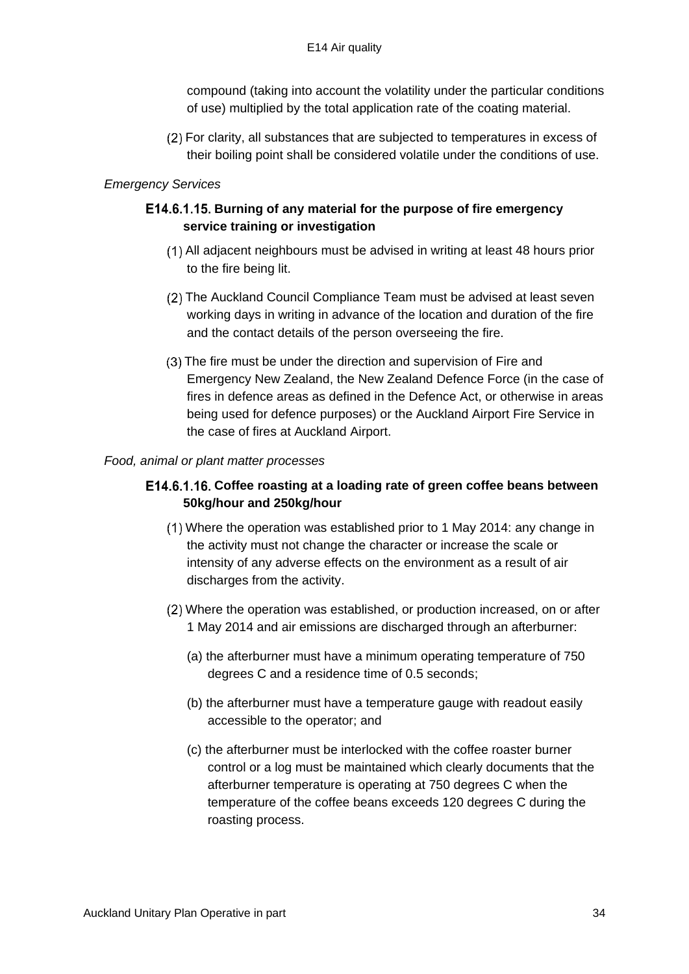compound (taking into account the volatility under the particular conditions of use) multiplied by the total application rate of the coating material.

For clarity, all substances that are subjected to temperatures in excess of their boiling point shall be considered volatile under the conditions of use.

### *Emergency Services*

## E14.6.1.15. Burning of any material for the purpose of fire emergency **service training or investigation**

- All adjacent neighbours must be advised in writing at least 48 hours prior to the fire being lit.
- The Auckland Council Compliance Team must be advised at least seven working days in writing in advance of the location and duration of the fire and the contact details of the person overseeing the fire.
- The fire must be under the direction and supervision of Fire and Emergency New Zealand, the New Zealand Defence Force (in the case of fires in defence areas as defined in the Defence Act, or otherwise in areas being used for defence purposes) or the Auckland Airport Fire Service in the case of fires at Auckland Airport.

#### *Food, animal or plant matter processes*

### **Coffee roasting at a loading rate of green coffee beans between 50kg/hour and 250kg/hour**

- Where the operation was established prior to 1 May 2014: any change in the activity must not change the character or increase the scale or intensity of any adverse effects on the environment as a result of air discharges from the activity.
- Where the operation was established, or production increased, on or after 1 May 2014 and air emissions are discharged through an afterburner:
	- (a) the afterburner must have a minimum operating temperature of 750 degrees C and a residence time of 0.5 seconds;
	- (b) the afterburner must have a temperature gauge with readout easily accessible to the operator; and
	- (c) the afterburner must be interlocked with the coffee roaster burner control or a log must be maintained which clearly documents that the afterburner temperature is operating at 750 degrees C when the temperature of the coffee beans exceeds 120 degrees C during the roasting process.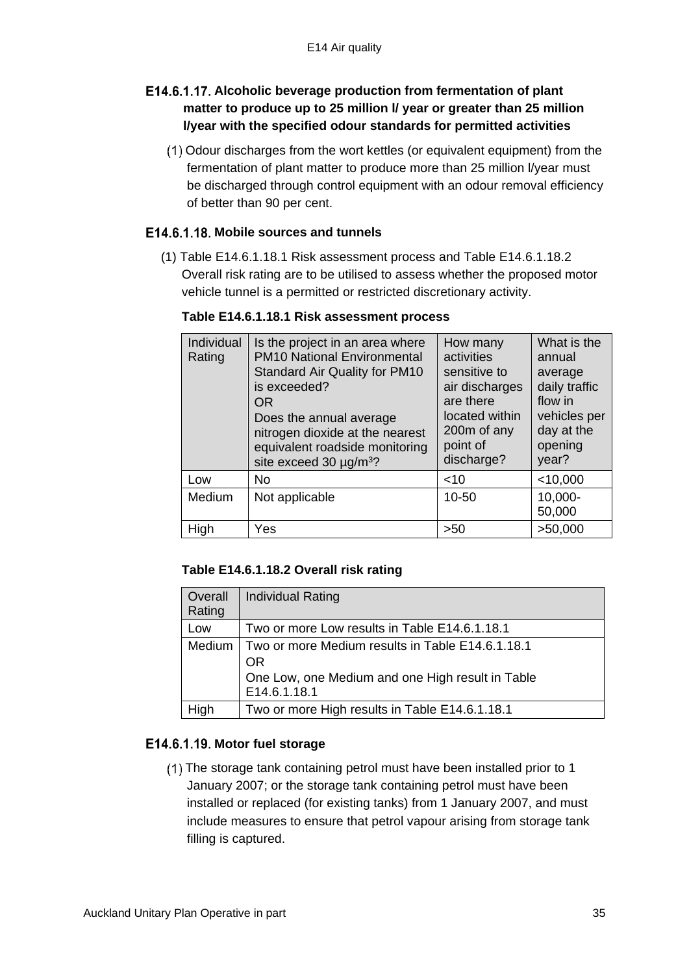# E14.6.1.17. Alcoholic beverage production from fermentation of plant **matter to produce up to 25 million l/ year or greater than 25 million l/year with the specified odour standards for permitted activities**

Odour discharges from the wort kettles (or equivalent equipment) from the fermentation of plant matter to produce more than 25 million l/year must be discharged through control equipment with an odour removal efficiency of better than 90 per cent.

## E14.6.1.18. Mobile sources and tunnels

(1) Table E14.6.1.18.1 Risk assessment process and Table E14.6.1.18.2 Overall risk rating are to be utilised to assess whether the proposed motor vehicle tunnel is a permitted or restricted discretionary activity.

| Individual<br>Rating | Is the project in an area where<br><b>PM10 National Environmental</b><br><b>Standard Air Quality for PM10</b><br>is exceeded?<br>OR.<br>Does the annual average<br>nitrogen dioxide at the nearest<br>equivalent roadside monitoring<br>site exceed 30 $\mu$ g/m <sup>3</sup> ? | How many<br>activities<br>sensitive to<br>air discharges<br>are there<br>located within<br>200m of any<br>point of<br>discharge? | What is the<br>annual<br>average<br>daily traffic<br>flow in<br>vehicles per<br>day at the<br>opening<br>year? |
|----------------------|---------------------------------------------------------------------------------------------------------------------------------------------------------------------------------------------------------------------------------------------------------------------------------|----------------------------------------------------------------------------------------------------------------------------------|----------------------------------------------------------------------------------------------------------------|
| Low                  | No                                                                                                                                                                                                                                                                              | $<$ 10                                                                                                                           | $<$ 10,000                                                                                                     |
| Medium               | Not applicable                                                                                                                                                                                                                                                                  | 10-50                                                                                                                            | 10,000-<br>50,000                                                                                              |
| High                 | Yes                                                                                                                                                                                                                                                                             | >50                                                                                                                              | >50,000                                                                                                        |

#### **Table E14.6.1.18.1 Risk assessment process**

### **Table E14.6.1.18.2 Overall risk rating**

| Overall<br>Rating | <b>Individual Rating</b>                                                                                                   |
|-------------------|----------------------------------------------------------------------------------------------------------------------------|
| Low               | Two or more Low results in Table E14.6.1.18.1                                                                              |
| Medium            | Two or more Medium results in Table E14.6.1.18.1<br>OR<br>One Low, one Medium and one High result in Table<br>E14.6.1.18.1 |
| High              | Two or more High results in Table E14.6.1.18.1                                                                             |

## E14.6.1.19. Motor fuel storage

The storage tank containing petrol must have been installed prior to 1 January 2007; or the storage tank containing petrol must have been installed or replaced (for existing tanks) from 1 January 2007, and must include measures to ensure that petrol vapour arising from storage tank filling is captured.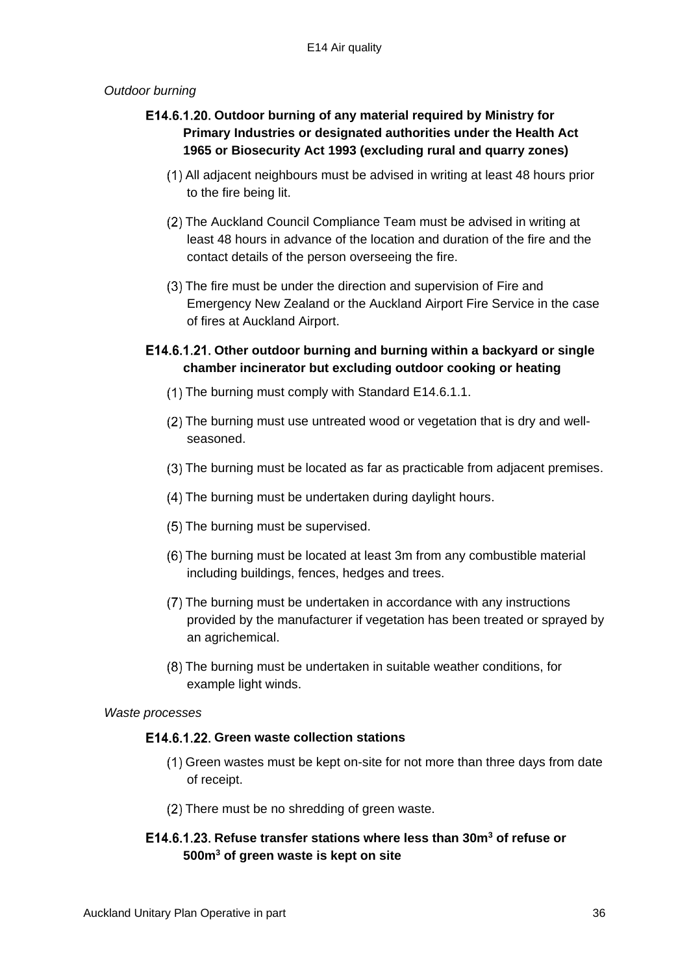### *Outdoor burning*

# E14.6.1.20. Outdoor burning of any material required by Ministry for **Primary Industries or designated authorities under the Health Act 1965 or Biosecurity Act 1993 (excluding rural and quarry zones)**

- All adjacent neighbours must be advised in writing at least 48 hours prior to the fire being lit.
- The Auckland Council Compliance Team must be advised in writing at least 48 hours in advance of the location and duration of the fire and the contact details of the person overseeing the fire.
- (3) The fire must be under the direction and supervision of Fire and Emergency New Zealand or the Auckland Airport Fire Service in the case of fires at Auckland Airport.

# **Other outdoor burning and burning within a backyard or single chamber incinerator but excluding outdoor cooking or heating**

- $(1)$  The burning must comply with Standard E14.6.1.1.
- (2) The burning must use untreated wood or vegetation that is dry and wellseasoned.
- The burning must be located as far as practicable from adjacent premises.
- (4) The burning must be undertaken during daylight hours.
- (5) The burning must be supervised.
- The burning must be located at least 3m from any combustible material including buildings, fences, hedges and trees.
- The burning must be undertaken in accordance with any instructions provided by the manufacturer if vegetation has been treated or sprayed by an agrichemical.
- The burning must be undertaken in suitable weather conditions, for example light winds.

*Waste processes*

## **Green waste collection stations**

- Green wastes must be kept on-site for not more than three days from date of receipt.
- (2) There must be no shredding of green waste.

## **Refuse transfer stations where less than 30m<sup>3</sup> of refuse or 500m<sup>3</sup> of green waste is kept on site**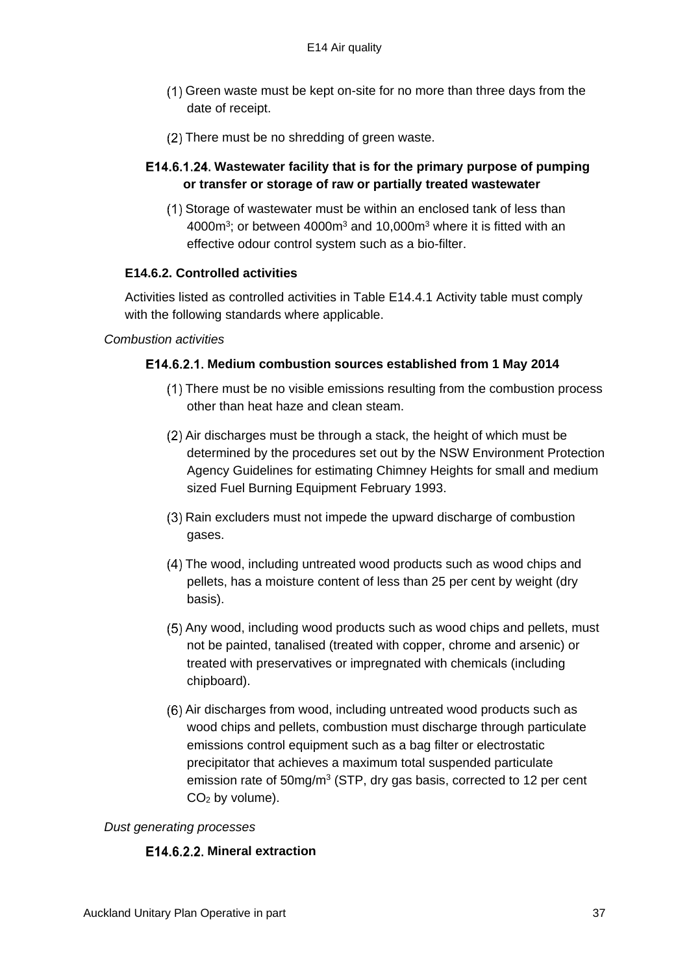- Green waste must be kept on-site for no more than three days from the date of receipt.
- (2) There must be no shredding of green waste.

## **Wastewater facility that is for the primary purpose of pumping or transfer or storage of raw or partially treated wastewater**

(1) Storage of wastewater must be within an enclosed tank of less than 4000 $m^3$ ; or between 4000 $m^3$  and 10,000 $m^3$  where it is fitted with an effective odour control system such as a bio-filter.

### **E14.6.2. Controlled activities**

Activities listed as controlled activities in Table E14.4.1 Activity table must comply with the following standards where applicable.

#### *Combustion activities*

#### E14.6.2.1. Medium combustion sources established from 1 May 2014

- There must be no visible emissions resulting from the combustion process other than heat haze and clean steam.
- (2) Air discharges must be through a stack, the height of which must be determined by the procedures set out by the NSW Environment Protection Agency Guidelines for estimating Chimney Heights for small and medium sized Fuel Burning Equipment February 1993.
- Rain excluders must not impede the upward discharge of combustion gases.
- The wood, including untreated wood products such as wood chips and pellets, has a moisture content of less than 25 per cent by weight (dry basis).
- (5) Any wood, including wood products such as wood chips and pellets, must not be painted, tanalised (treated with copper, chrome and arsenic) or treated with preservatives or impregnated with chemicals (including chipboard).
- (6) Air discharges from wood, including untreated wood products such as wood chips and pellets, combustion must discharge through particulate emissions control equipment such as a bag filter or electrostatic precipitator that achieves a maximum total suspended particulate emission rate of 50mg/m<sup>3</sup> (STP, dry gas basis, corrected to 12 per cent  $CO<sub>2</sub>$  by volume).

#### *Dust generating processes*

#### E14.6.2.2. Mineral extraction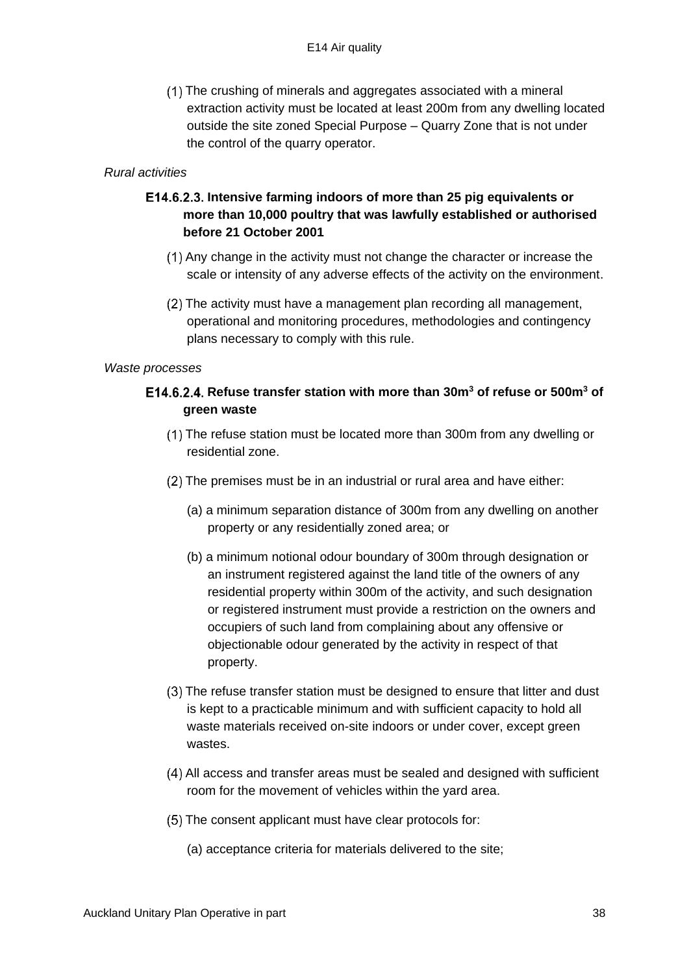The crushing of minerals and aggregates associated with a mineral extraction activity must be located at least 200m from any dwelling located outside the site zoned Special Purpose – Quarry Zone that is not under the control of the quarry operator.

### *Rural activities*

# **Intensive farming indoors of more than 25 pig equivalents or more than 10,000 poultry that was lawfully established or authorised before 21 October 2001**

- $(1)$  Any change in the activity must not change the character or increase the scale or intensity of any adverse effects of the activity on the environment.
- $(2)$  The activity must have a management plan recording all management, operational and monitoring procedures, methodologies and contingency plans necessary to comply with this rule.

#### *Waste processes*

# **Refuse transfer station with more than 30m<sup>3</sup> of refuse or 500m<sup>3</sup> of green waste**

- The refuse station must be located more than 300m from any dwelling or residential zone.
- (2) The premises must be in an industrial or rural area and have either:
	- (a) a minimum separation distance of 300m from any dwelling on another property or any residentially zoned area; or
	- (b) a minimum notional odour boundary of 300m through designation or an instrument registered against the land title of the owners of any residential property within 300m of the activity, and such designation or registered instrument must provide a restriction on the owners and occupiers of such land from complaining about any offensive or objectionable odour generated by the activity in respect of that property.
- The refuse transfer station must be designed to ensure that litter and dust is kept to a practicable minimum and with sufficient capacity to hold all waste materials received on-site indoors or under cover, except green wastes.
- All access and transfer areas must be sealed and designed with sufficient room for the movement of vehicles within the yard area.
- (5) The consent applicant must have clear protocols for:
	- (a) acceptance criteria for materials delivered to the site;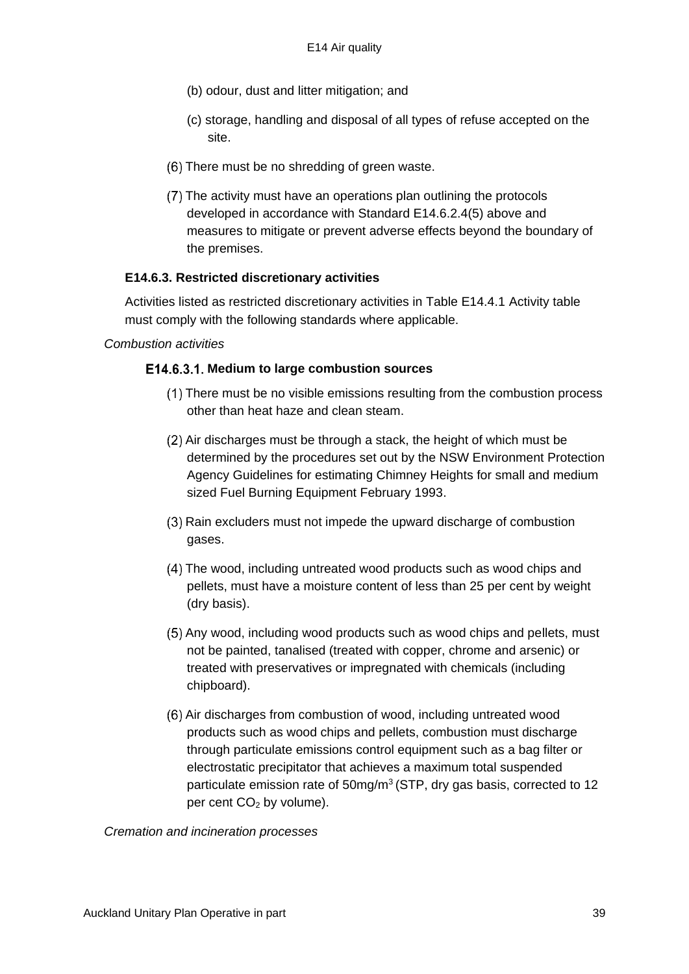- (b) odour, dust and litter mitigation; and
- (c) storage, handling and disposal of all types of refuse accepted on the site.
- (6) There must be no shredding of green waste.
- The activity must have an operations plan outlining the protocols developed in accordance with Standard E14.6.2.4(5) above and measures to mitigate or prevent adverse effects beyond the boundary of the premises.

#### **E14.6.3. Restricted discretionary activities**

Activities listed as restricted discretionary activities in Table E14.4.1 Activity table must comply with the following standards where applicable.

#### *Combustion activities*

#### E14.6.3.1. Medium to large combustion sources

- There must be no visible emissions resulting from the combustion process other than heat haze and clean steam.
- $(2)$  Air discharges must be through a stack, the height of which must be determined by the procedures set out by the NSW Environment Protection Agency Guidelines for estimating Chimney Heights for small and medium sized Fuel Burning Equipment February 1993.
- Rain excluders must not impede the upward discharge of combustion gases.
- The wood, including untreated wood products such as wood chips and pellets, must have a moisture content of less than 25 per cent by weight (dry basis).
- Any wood, including wood products such as wood chips and pellets, must not be painted, tanalised (treated with copper, chrome and arsenic) or treated with preservatives or impregnated with chemicals (including chipboard).
- (6) Air discharges from combustion of wood, including untreated wood products such as wood chips and pellets, combustion must discharge through particulate emissions control equipment such as a bag filter or electrostatic precipitator that achieves a maximum total suspended particulate emission rate of 50mg/m<sup>3</sup> (STP, dry gas basis, corrected to 12 per cent  $CO<sub>2</sub>$  by volume).

*Cremation and incineration processes*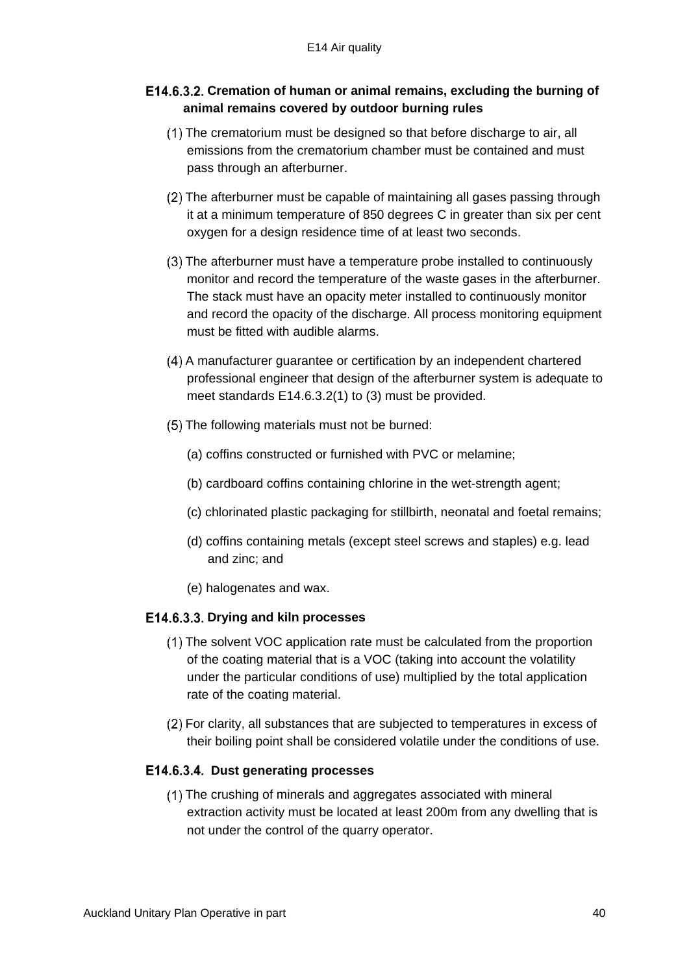## **Cremation of human or animal remains, excluding the burning of animal remains covered by outdoor burning rules**

- The crematorium must be designed so that before discharge to air, all emissions from the crematorium chamber must be contained and must pass through an afterburner.
- The afterburner must be capable of maintaining all gases passing through it at a minimum temperature of 850 degrees C in greater than six per cent oxygen for a design residence time of at least two seconds.
- The afterburner must have a temperature probe installed to continuously monitor and record the temperature of the waste gases in the afterburner. The stack must have an opacity meter installed to continuously monitor and record the opacity of the discharge. All process monitoring equipment must be fitted with audible alarms.
- A manufacturer guarantee or certification by an independent chartered professional engineer that design of the afterburner system is adequate to meet standards E14.6.3.2(1) to (3) must be provided.
- (5) The following materials must not be burned:
	- (a) coffins constructed or furnished with PVC or melamine;
	- (b) cardboard coffins containing chlorine in the wet-strength agent;
	- (c) chlorinated plastic packaging for stillbirth, neonatal and foetal remains;
	- (d) coffins containing metals (except steel screws and staples) e.g. lead and zinc; and
	- (e) halogenates and wax.

### E14.6.3.3. Drying and kiln processes

- The solvent VOC application rate must be calculated from the proportion of the coating material that is a VOC (taking into account the volatility under the particular conditions of use) multiplied by the total application rate of the coating material.
- For clarity, all substances that are subjected to temperatures in excess of their boiling point shall be considered volatile under the conditions of use.

#### E14.6.3.4. Dust generating processes

The crushing of minerals and aggregates associated with mineral extraction activity must be located at least 200m from any dwelling that is not under the control of the quarry operator.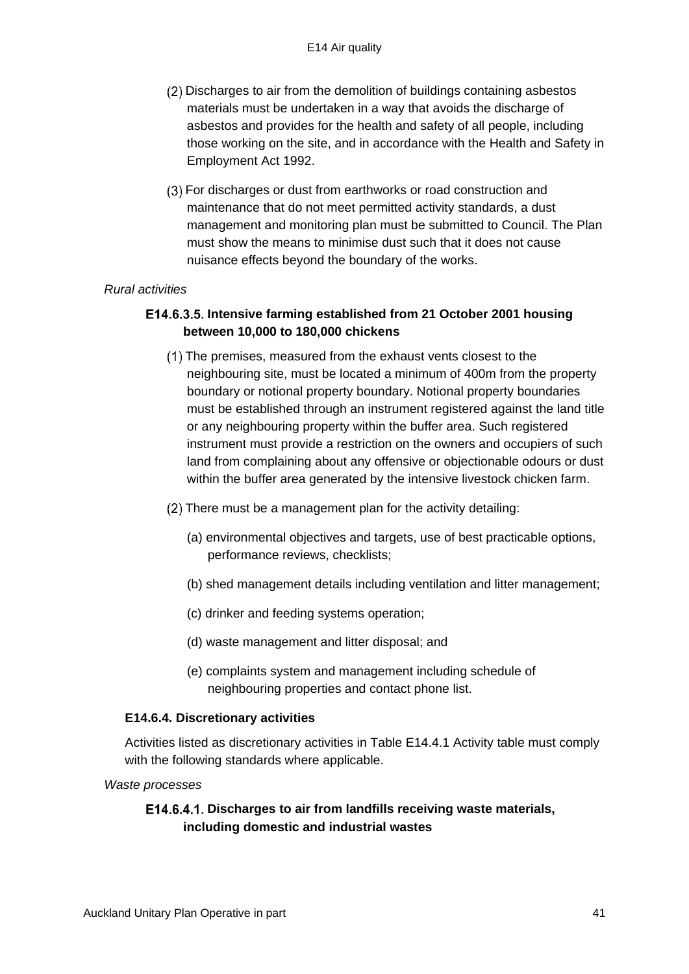- Discharges to air from the demolition of buildings containing asbestos materials must be undertaken in a way that avoids the discharge of asbestos and provides for the health and safety of all people, including those working on the site, and in accordance with the Health and Safety in Employment Act 1992.
- For discharges or dust from earthworks or road construction and maintenance that do not meet permitted activity standards, a dust management and monitoring plan must be submitted to Council. The Plan must show the means to minimise dust such that it does not cause nuisance effects beyond the boundary of the works.

#### *Rural activities*

## E14.6.3.5. Intensive farming established from 21 October 2001 housing **between 10,000 to 180,000 chickens**

- The premises, measured from the exhaust vents closest to the neighbouring site, must be located a minimum of 400m from the property boundary or notional property boundary. Notional property boundaries must be established through an instrument registered against the land title or any neighbouring property within the buffer area. Such registered instrument must provide a restriction on the owners and occupiers of such land from complaining about any offensive or objectionable odours or dust within the buffer area generated by the intensive livestock chicken farm.
- (2) There must be a management plan for the activity detailing:
	- (a) environmental objectives and targets, use of best practicable options, performance reviews, checklists;
	- (b) shed management details including ventilation and litter management;
	- (c) drinker and feeding systems operation;
	- (d) waste management and litter disposal; and
	- (e) complaints system and management including schedule of neighbouring properties and contact phone list.

#### **E14.6.4. Discretionary activities**

Activities listed as discretionary activities in Table E14.4.1 Activity table must comply with the following standards where applicable.

*Waste processes*

## **Discharges to air from landfills receiving waste materials, including domestic and industrial wastes**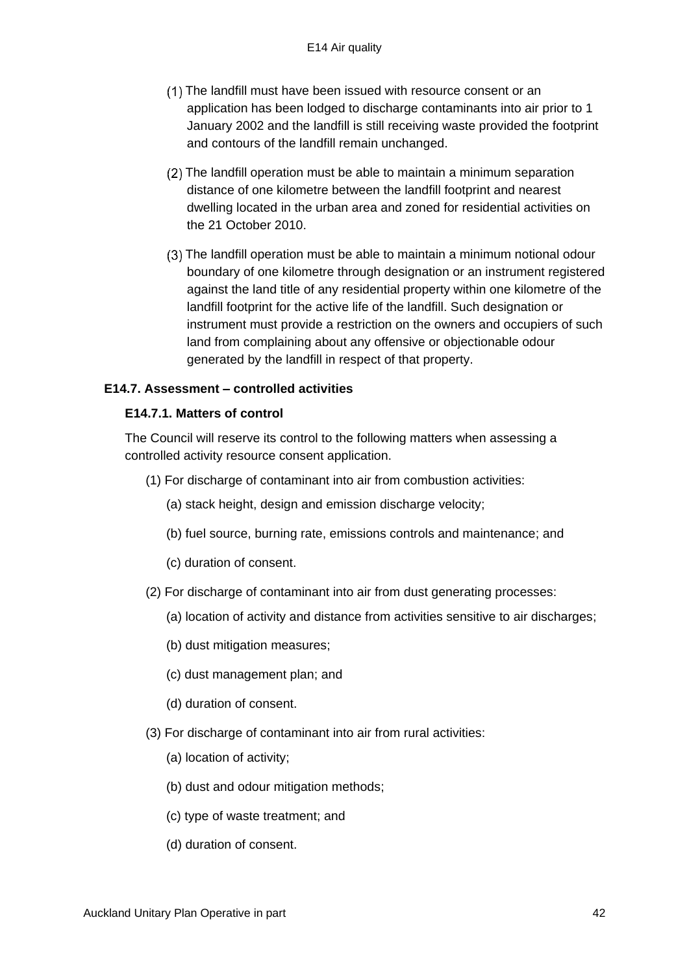- The landfill must have been issued with resource consent or an application has been lodged to discharge contaminants into air prior to 1 January 2002 and the landfill is still receiving waste provided the footprint and contours of the landfill remain unchanged.
- The landfill operation must be able to maintain a minimum separation distance of one kilometre between the landfill footprint and nearest dwelling located in the urban area and zoned for residential activities on the 21 October 2010.
- The landfill operation must be able to maintain a minimum notional odour boundary of one kilometre through designation or an instrument registered against the land title of any residential property within one kilometre of the landfill footprint for the active life of the landfill. Such designation or instrument must provide a restriction on the owners and occupiers of such land from complaining about any offensive or objectionable odour generated by the landfill in respect of that property.

#### **E14.7. Assessment – controlled activities**

#### **E14.7.1. Matters of control**

The Council will reserve its control to the following matters when assessing a controlled activity resource consent application.

- (1) For discharge of contaminant into air from combustion activities:
	- (a) stack height, design and emission discharge velocity;
	- (b) fuel source, burning rate, emissions controls and maintenance; and
	- (c) duration of consent.
- (2) For discharge of contaminant into air from dust generating processes:
	- (a) location of activity and distance from activities sensitive to air discharges;
	- (b) dust mitigation measures;
	- (c) dust management plan; and
	- (d) duration of consent.
- (3) For discharge of contaminant into air from rural activities:
	- (a) location of activity;
	- (b) dust and odour mitigation methods;
	- (c) type of waste treatment; and
	- (d) duration of consent.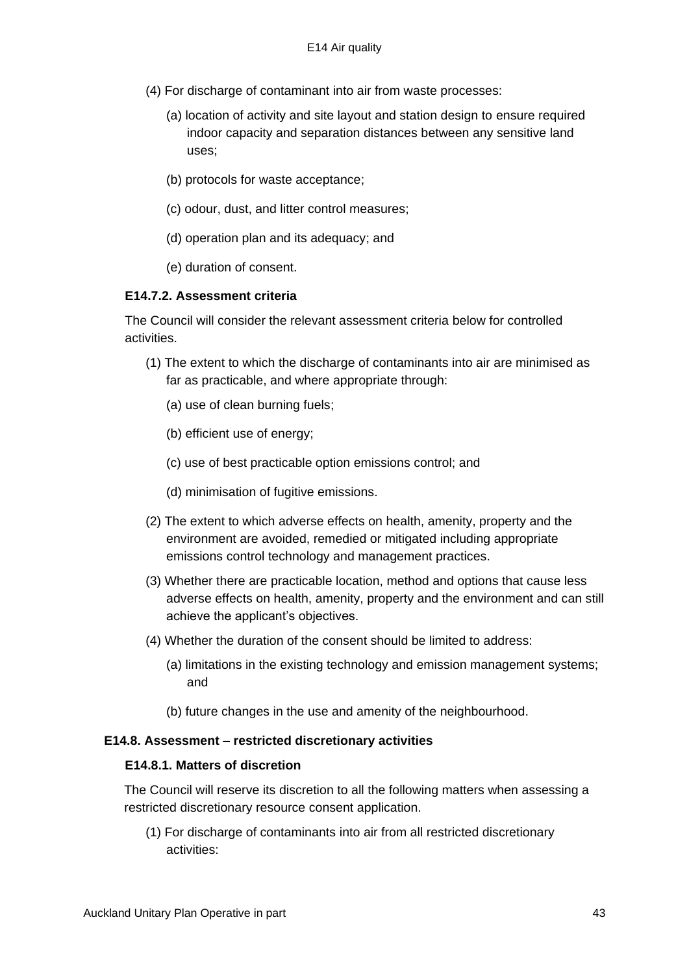- (4) For discharge of contaminant into air from waste processes:
	- (a) location of activity and site layout and station design to ensure required indoor capacity and separation distances between any sensitive land uses;
	- (b) protocols for waste acceptance;
	- (c) odour, dust, and litter control measures;
	- (d) operation plan and its adequacy; and
	- (e) duration of consent.

### **E14.7.2. Assessment criteria**

The Council will consider the relevant assessment criteria below for controlled activities.

- (1) The extent to which the discharge of contaminants into air are minimised as far as practicable, and where appropriate through:
	- (a) use of clean burning fuels;
	- (b) efficient use of energy;
	- (c) use of best practicable option emissions control; and
	- (d) minimisation of fugitive emissions.
- (2) The extent to which adverse effects on health, amenity, property and the environment are avoided, remedied or mitigated including appropriate emissions control technology and management practices.
- (3) Whether there are practicable location, method and options that cause less adverse effects on health, amenity, property and the environment and can still achieve the applicant's objectives.
- (4) Whether the duration of the consent should be limited to address:
	- (a) limitations in the existing technology and emission management systems; and
	- (b) future changes in the use and amenity of the neighbourhood.

#### **E14.8. Assessment – restricted discretionary activities**

### **E14.8.1. Matters of discretion**

The Council will reserve its discretion to all the following matters when assessing a restricted discretionary resource consent application.

(1) For discharge of contaminants into air from all restricted discretionary activities: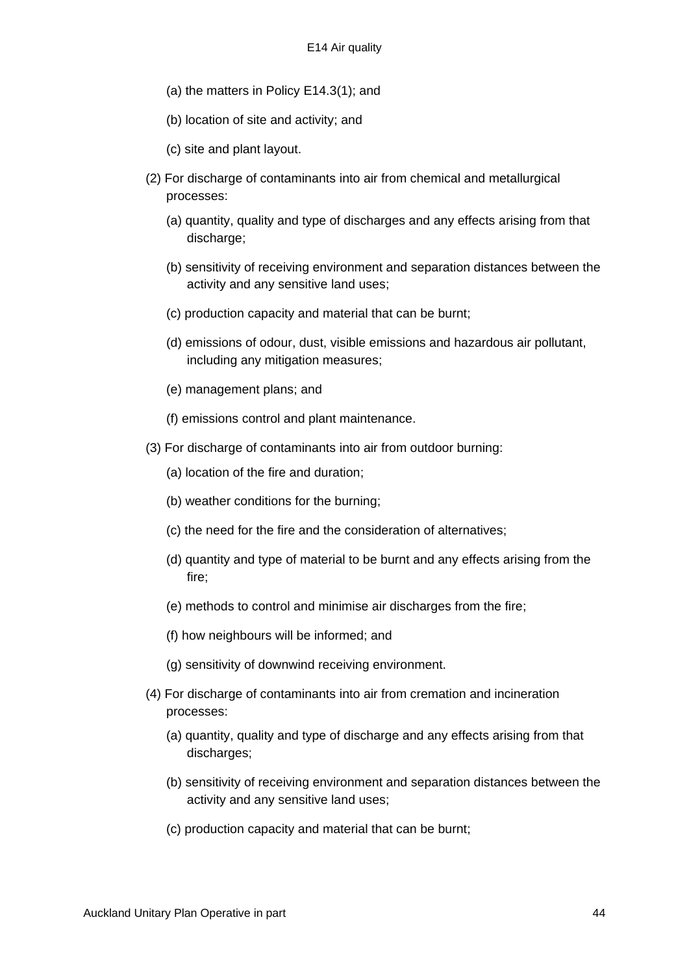- (a) the matters in Policy E14.3(1); and
- (b) location of site and activity; and
- (c) site and plant layout.
- (2) For discharge of contaminants into air from chemical and metallurgical processes:
	- (a) quantity, quality and type of discharges and any effects arising from that discharge:
	- (b) sensitivity of receiving environment and separation distances between the activity and any sensitive land uses;
	- (c) production capacity and material that can be burnt;
	- (d) emissions of odour, dust, visible emissions and hazardous air pollutant, including any mitigation measures;
	- (e) management plans; and
	- (f) emissions control and plant maintenance.
- (3) For discharge of contaminants into air from outdoor burning:
	- (a) location of the fire and duration;
	- (b) weather conditions for the burning;
	- (c) the need for the fire and the consideration of alternatives;
	- (d) quantity and type of material to be burnt and any effects arising from the fire;
	- (e) methods to control and minimise air discharges from the fire;
	- (f) how neighbours will be informed; and
	- (g) sensitivity of downwind receiving environment.
- (4) For discharge of contaminants into air from cremation and incineration processes:
	- (a) quantity, quality and type of discharge and any effects arising from that discharges;
	- (b) sensitivity of receiving environment and separation distances between the activity and any sensitive land uses;
	- (c) production capacity and material that can be burnt;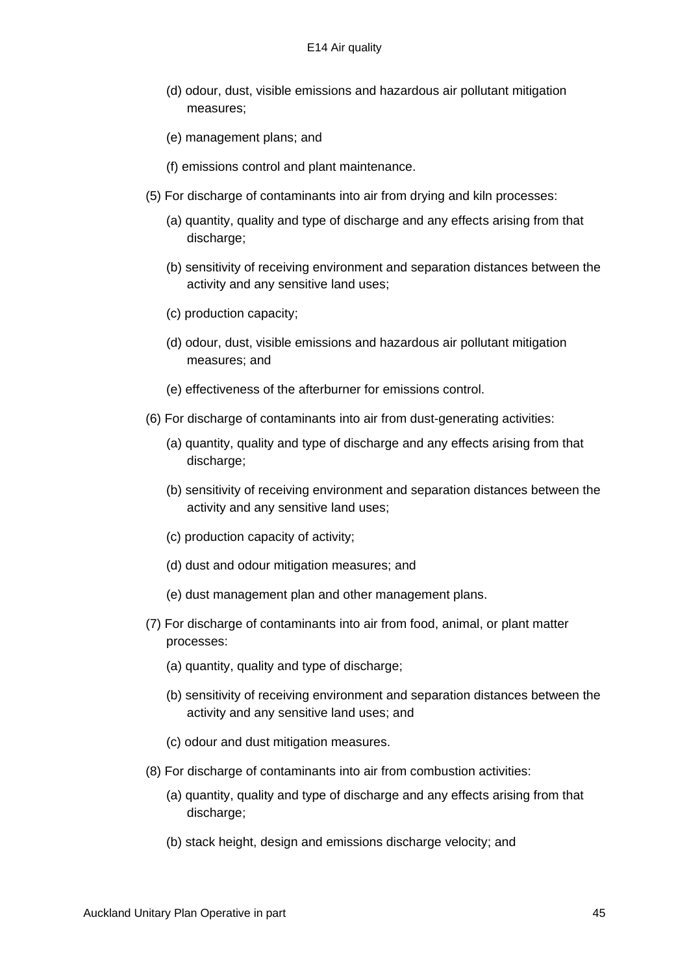- (d) odour, dust, visible emissions and hazardous air pollutant mitigation measures;
- (e) management plans; and
- (f) emissions control and plant maintenance.
- (5) For discharge of contaminants into air from drying and kiln processes:
	- (a) quantity, quality and type of discharge and any effects arising from that discharge:
	- (b) sensitivity of receiving environment and separation distances between the activity and any sensitive land uses;
	- (c) production capacity;
	- (d) odour, dust, visible emissions and hazardous air pollutant mitigation measures; and
	- (e) effectiveness of the afterburner for emissions control.
- (6) For discharge of contaminants into air from dust-generating activities:
	- (a) quantity, quality and type of discharge and any effects arising from that discharge;
	- (b) sensitivity of receiving environment and separation distances between the activity and any sensitive land uses;
	- (c) production capacity of activity;
	- (d) dust and odour mitigation measures; and
	- (e) dust management plan and other management plans.
- (7) For discharge of contaminants into air from food, animal, or plant matter processes:
	- (a) quantity, quality and type of discharge;
	- (b) sensitivity of receiving environment and separation distances between the activity and any sensitive land uses; and
	- (c) odour and dust mitigation measures.
- (8) For discharge of contaminants into air from combustion activities:
	- (a) quantity, quality and type of discharge and any effects arising from that discharge;
	- (b) stack height, design and emissions discharge velocity; and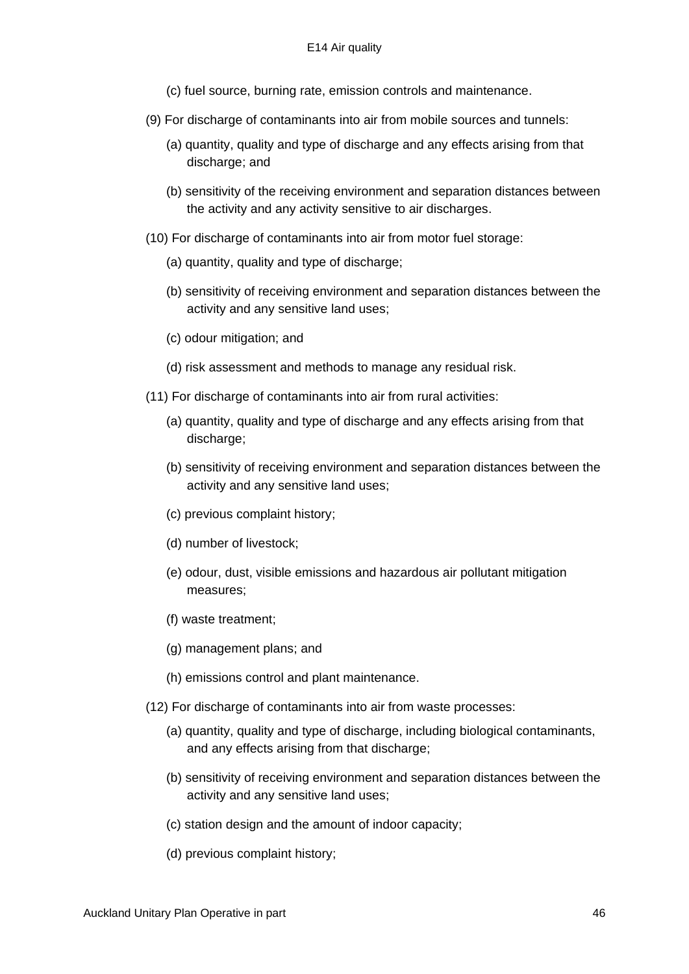- (c) fuel source, burning rate, emission controls and maintenance.
- (9) For discharge of contaminants into air from mobile sources and tunnels:
	- (a) quantity, quality and type of discharge and any effects arising from that discharge; and
	- (b) sensitivity of the receiving environment and separation distances between the activity and any activity sensitive to air discharges.
- (10) For discharge of contaminants into air from motor fuel storage:
	- (a) quantity, quality and type of discharge;
	- (b) sensitivity of receiving environment and separation distances between the activity and any sensitive land uses;
	- (c) odour mitigation; and
	- (d) risk assessment and methods to manage any residual risk.
- (11) For discharge of contaminants into air from rural activities:
	- (a) quantity, quality and type of discharge and any effects arising from that discharge;
	- (b) sensitivity of receiving environment and separation distances between the activity and any sensitive land uses;
	- (c) previous complaint history;
	- (d) number of livestock;
	- (e) odour, dust, visible emissions and hazardous air pollutant mitigation measures;
	- (f) waste treatment;
	- (g) management plans; and
	- (h) emissions control and plant maintenance.
- (12) For discharge of contaminants into air from waste processes:
	- (a) quantity, quality and type of discharge, including biological contaminants, and any effects arising from that discharge;
	- (b) sensitivity of receiving environment and separation distances between the activity and any sensitive land uses;
	- (c) station design and the amount of indoor capacity;
	- (d) previous complaint history;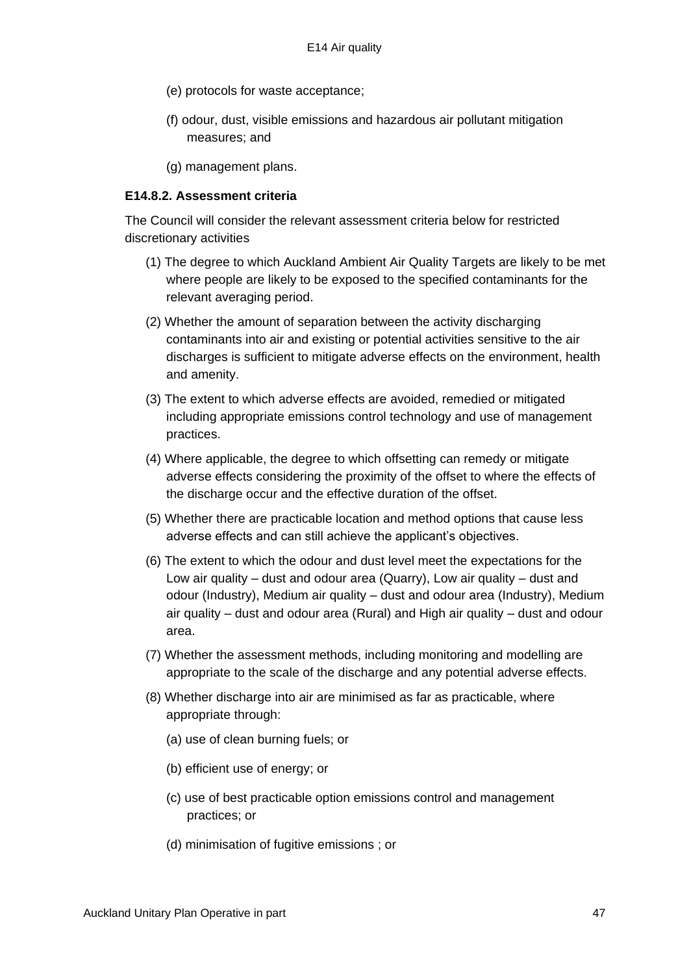- (e) protocols for waste acceptance;
- (f) odour, dust, visible emissions and hazardous air pollutant mitigation measures; and
- (g) management plans.

#### **E14.8.2. Assessment criteria**

The Council will consider the relevant assessment criteria below for restricted discretionary activities

- (1) The degree to which Auckland Ambient Air Quality Targets are likely to be met where people are likely to be exposed to the specified contaminants for the relevant averaging period.
- (2) Whether the amount of separation between the activity discharging contaminants into air and existing or potential activities sensitive to the air discharges is sufficient to mitigate adverse effects on the environment, health and amenity.
- (3) The extent to which adverse effects are avoided, remedied or mitigated including appropriate emissions control technology and use of management practices.
- (4) Where applicable, the degree to which offsetting can remedy or mitigate adverse effects considering the proximity of the offset to where the effects of the discharge occur and the effective duration of the offset.
- (5) Whether there are practicable location and method options that cause less adverse effects and can still achieve the applicant's objectives.
- (6) The extent to which the odour and dust level meet the expectations for the Low air quality – dust and odour area (Quarry), Low air quality – dust and odour (Industry), Medium air quality – dust and odour area (Industry), Medium air quality – dust and odour area (Rural) and High air quality – dust and odour area.
- (7) Whether the assessment methods, including monitoring and modelling are appropriate to the scale of the discharge and any potential adverse effects.
- (8) Whether discharge into air are minimised as far as practicable, where appropriate through:
	- (a) use of clean burning fuels; or
	- (b) efficient use of energy; or
	- (c) use of best practicable option emissions control and management practices; or
	- (d) minimisation of fugitive emissions ; or